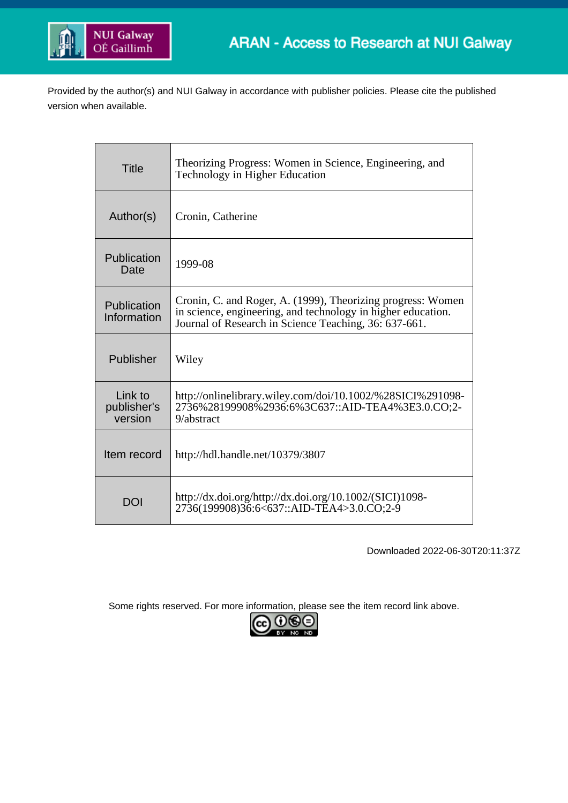

Provided by the author(s) and NUI Galway in accordance with publisher policies. Please cite the published version when available.

| <b>Title</b>                      | Theorizing Progress: Women in Science, Engineering, and<br>Technology in Higher Education                                                                                            |
|-----------------------------------|--------------------------------------------------------------------------------------------------------------------------------------------------------------------------------------|
| Author(s)                         | Cronin, Catherine                                                                                                                                                                    |
| Publication<br>Date               | 1999-08                                                                                                                                                                              |
| Publication<br>Information        | Cronin, C. and Roger, A. (1999), Theorizing progress: Women<br>in science, engineering, and technology in higher education.<br>Journal of Research in Science Teaching, 36: 637-661. |
| Publisher                         | Wiley                                                                                                                                                                                |
| Link to<br>publisher's<br>version | http://onlinelibrary.wiley.com/doi/10.1002/%28SICI%291098-<br>2736%28199908%2936:6%3C637::AID-TEA4%3E3.0.CO;2-<br>9/abstract                                                         |
| Item record                       | http://hdl.handle.net/10379/3807                                                                                                                                                     |
| <b>DOI</b>                        | http://dx.doi.org/http://dx.doi.org/10.1002/(SICI)1098-<br>2736(199908)36:6<637::AID-TEA4>3.0.CO;2-9                                                                                 |

Downloaded 2022-06-30T20:11:37Z

Some rights reserved. For more information, please see the item record link above.

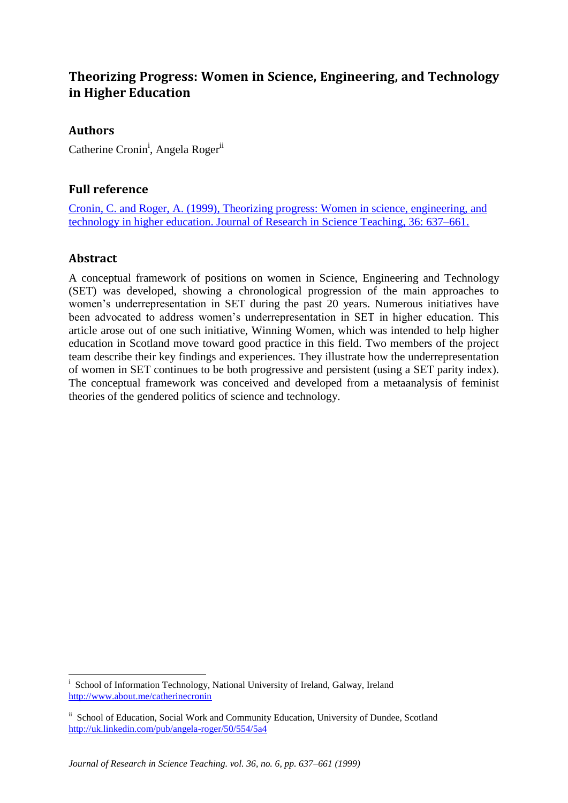# **Theorizing Progress: Women in Science, Engineering, and Technology in Higher Education**

## **Authors**

Catherine Cronin<sup>i</sup>, Angela Roger<sup>ii</sup>

## **Full reference**

[Cronin, C. and Roger, A. \(1999\), Theorizing progress: Women in science, engineering, and](http://onlinelibrary.wiley.com/doi/10.1002/%28SICI%291098-2736%28199908%2936:6%3C637::AID-TEA4%3E3.0.CO;2-9/abstract)  [technology in higher education. Journal of Research in Science Teaching, 36:](http://onlinelibrary.wiley.com/doi/10.1002/%28SICI%291098-2736%28199908%2936:6%3C637::AID-TEA4%3E3.0.CO;2-9/abstract) 637–661.

## **Abstract**

A conceptual framework of positions on women in Science, Engineering and Technology (SET) was developed, showing a chronological progression of the main approaches to women's underrepresentation in SET during the past 20 years. Numerous initiatives have been advocated to address women's underrepresentation in SET in higher education. This article arose out of one such initiative, Winning Women, which was intended to help higher education in Scotland move toward good practice in this field. Two members of the project team describe their key findings and experiences. They illustrate how the underrepresentation of women in SET continues to be both progressive and persistent (using a SET parity index). The conceptual framework was conceived and developed from a metaanalysis of feminist theories of the gendered politics of science and technology.

<sup>&</sup>lt;u>.</u> i School of Information Technology, National University of Ireland, Galway, Ireland <http://www.about.me/catherinecronin>

ii School of Education, Social Work and Community Education, University of Dundee, Scotland <http://uk.linkedin.com/pub/angela-roger/50/554/5a4>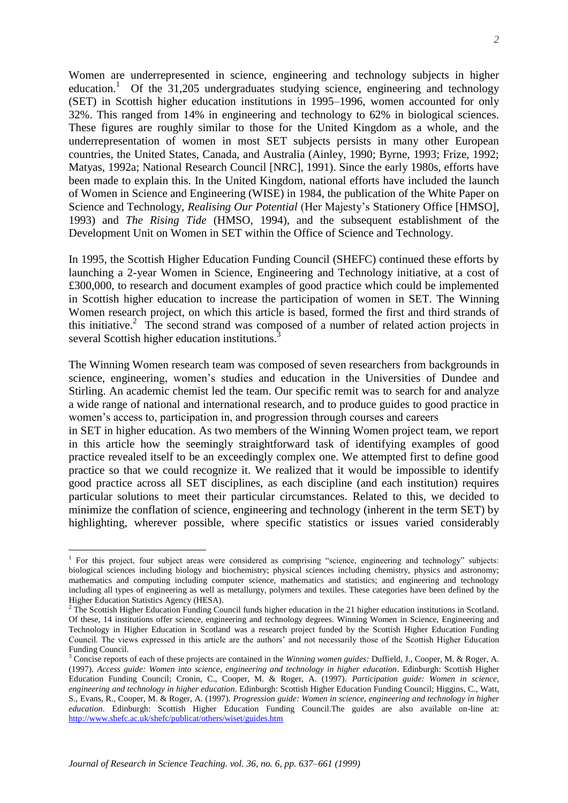Women are underrepresented in science, engineering and technology subjects in higher education.<sup>1</sup> Of the 31,205 undergraduates studying science, engineering and technology (SET) in Scottish higher education institutions in 1995–1996, women accounted for only 32%. This ranged from 14% in engineering and technology to 62% in biological sciences. These figures are roughly similar to those for the United Kingdom as a whole, and the underrepresentation of women in most SET subjects persists in many other European countries, the United States, Canada, and Australia (Ainley, 1990; Byrne, 1993; Frize, 1992; Matyas, 1992a; National Research Council [NRC], 1991). Since the early 1980s, efforts have been made to explain this. In the United Kingdom, national efforts have included the launch of Women in Science and Engineering (WISE) in 1984, the publication of the White Paper on Science and Technology, *Realising Our Potential* (Her Majesty's Stationery Office [HMSO], 1993) and *The Rising Tide* (HMSO, 1994), and the subsequent establishment of the Development Unit on Women in SET within the Office of Science and Technology.

In 1995, the Scottish Higher Education Funding Council (SHEFC) continued these efforts by launching a 2-year Women in Science, Engineering and Technology initiative, at a cost of £300,000, to research and document examples of good practice which could be implemented in Scottish higher education to increase the participation of women in SET. The Winning Women research project, on which this article is based, formed the first and third strands of this initiative.<sup>2</sup> The second strand was composed of a number of related action projects in several Scottish higher education institutions.<sup>3</sup>

The Winning Women research team was composed of seven researchers from backgrounds in science, engineering, women's studies and education in the Universities of Dundee and Stirling. An academic chemist led the team. Our specific remit was to search for and analyze a wide range of national and international research, and to produce guides to good practice in women's access to, participation in, and progression through courses and careers

in SET in higher education. As two members of the Winning Women project team, we report in this article how the seemingly straightforward task of identifying examples of good practice revealed itself to be an exceedingly complex one. We attempted first to define good practice so that we could recognize it. We realized that it would be impossible to identify good practice across all SET disciplines, as each discipline (and each institution) requires particular solutions to meet their particular circumstances. Related to this, we decided to minimize the conflation of science, engineering and technology (inherent in the term SET) by highlighting, wherever possible, where specific statistics or issues varied considerably

<sup>&</sup>lt;sup>1</sup> For this project, four subject areas were considered as comprising "science, engineering and technology" subjects: biological sciences including biology and biochemistry; physical sciences including chemistry, physics and astronomy; mathematics and computing including computer science, mathematics and statistics; and engineering and technology including all types of engineering as well as metallurgy, polymers and textiles. These categories have been defined by the Higher Education Statistics Agency (HESA).

<sup>&</sup>lt;sup>2</sup> The Scottish Higher Education Funding Council funds higher education in the 21 higher education institutions in Scotland. Of these, 14 institutions offer science, engineering and technology degrees. Winning Women in Science, Engineering and Technology in Higher Education in Scotland was a research project funded by the Scottish Higher Education Funding Council. The views expressed in this article are the authors' and not necessarily those of the Scottish Higher Education Funding Council.

<sup>3</sup> Concise reports of each of these projects are contained in the *Winning women guides:* Duffield, J., Cooper, M. & Roger, A. (1997). *Access guide: Women into science, engineering and technology in higher education*. Edinburgh: Scottish Higher Education Funding Council; Cronin, C., Cooper, M. & Roger, A. (1997). *Participation guide: Women in science, engineering and technology in higher education*. Edinburgh: Scottish Higher Education Funding Council; Higgins, C., Watt, S., Evans, R., Cooper, M. & Roger, A. (1997). *Progression guide: Women in science, engineering and technology in higher education*. Edinburgh: Scottish Higher Education Funding Council.The guides are also available on-line at: <http://www.shefc.ac.uk/shefc/publicat/others/wiset/guides.htm>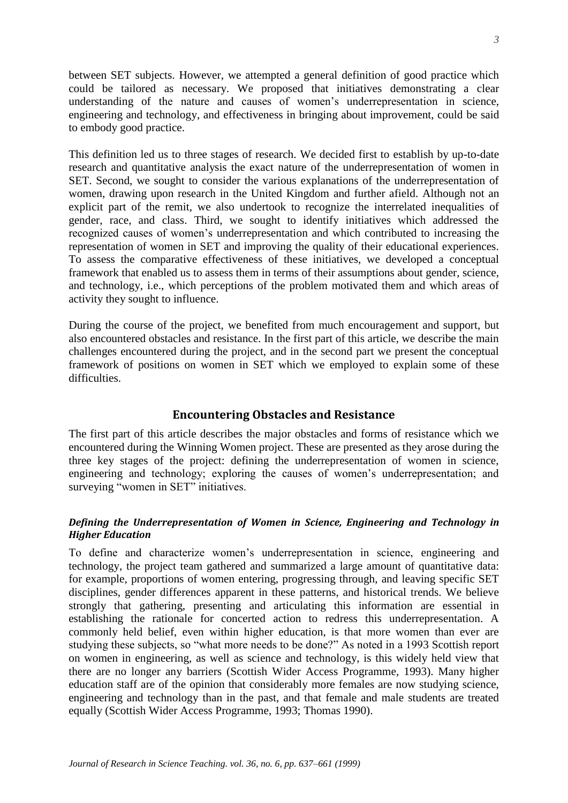between SET subjects. However, we attempted a general definition of good practice which could be tailored as necessary. We proposed that initiatives demonstrating a clear understanding of the nature and causes of women's underrepresentation in science, engineering and technology, and effectiveness in bringing about improvement, could be said to embody good practice.

This definition led us to three stages of research. We decided first to establish by up-to-date research and quantitative analysis the exact nature of the underrepresentation of women in SET. Second, we sought to consider the various explanations of the underrepresentation of women, drawing upon research in the United Kingdom and further afield. Although not an explicit part of the remit, we also undertook to recognize the interrelated inequalities of gender, race, and class. Third, we sought to identify initiatives which addressed the recognized causes of women's underrepresentation and which contributed to increasing the representation of women in SET and improving the quality of their educational experiences. To assess the comparative effectiveness of these initiatives, we developed a conceptual framework that enabled us to assess them in terms of their assumptions about gender, science, and technology, i.e., which perceptions of the problem motivated them and which areas of activity they sought to influence.

During the course of the project, we benefited from much encouragement and support, but also encountered obstacles and resistance. In the first part of this article, we describe the main challenges encountered during the project, and in the second part we present the conceptual framework of positions on women in SET which we employed to explain some of these difficulties.

## **Encountering Obstacles and Resistance**

The first part of this article describes the major obstacles and forms of resistance which we encountered during the Winning Women project. These are presented as they arose during the three key stages of the project: defining the underrepresentation of women in science, engineering and technology; exploring the causes of women's underrepresentation; and surveying "women in SET" initiatives.

### *Defining the Underrepresentation of Women in Science, Engineering and Technology in Higher Education*

To define and characterize women's underrepresentation in science, engineering and technology, the project team gathered and summarized a large amount of quantitative data: for example, proportions of women entering, progressing through, and leaving specific SET disciplines, gender differences apparent in these patterns, and historical trends. We believe strongly that gathering, presenting and articulating this information are essential in establishing the rationale for concerted action to redress this underrepresentation. A commonly held belief, even within higher education, is that more women than ever are studying these subjects, so "what more needs to be done?" As noted in a 1993 Scottish report on women in engineering, as well as science and technology, is this widely held view that there are no longer any barriers (Scottish Wider Access Programme, 1993). Many higher education staff are of the opinion that considerably more females are now studying science, engineering and technology than in the past, and that female and male students are treated equally (Scottish Wider Access Programme, 1993; Thomas 1990).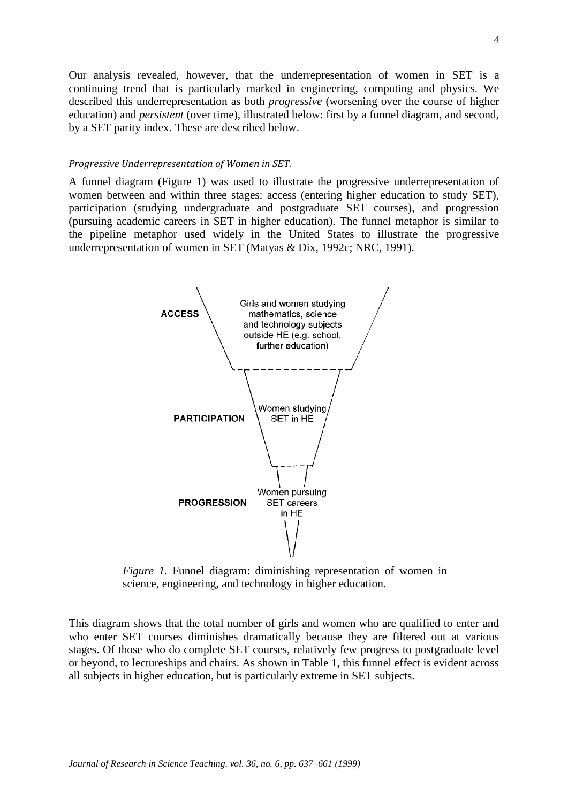Our analysis revealed, however, that the underrepresentation of women in SET is a continuing trend that is particularly marked in engineering, computing and physics. We described this underrepresentation as both *progressive* (worsening over the course of higher education) and *persistent* (over time), illustrated below: first by a funnel diagram, and second, by a SET parity index. These are described below.

#### *Progressive Underrepresentation of Women in SET.*

A funnel diagram (Figure 1) was used to illustrate the progressive underrepresentation of women between and within three stages: access (entering higher education to study SET), participation (studying undergraduate and postgraduate SET courses), and progression (pursuing academic careers in SET in higher education). The funnel metaphor is similar to the pipeline metaphor used widely in the United States to illustrate the progressive underrepresentation of women in SET (Matyas & Dix, 1992c; NRC, 1991).



*Figure 1.* Funnel diagram: diminishing representation of women in science, engineering, and technology in higher education.

This diagram shows that the total number of girls and women who are qualified to enter and who enter SET courses diminishes dramatically because they are filtered out at various stages. Of those who do complete SET courses, relatively few progress to postgraduate level or beyond, to lectureships and chairs. As shown in Table 1, this funnel effect is evident across all subjects in higher education, but is particularly extreme in SET subjects.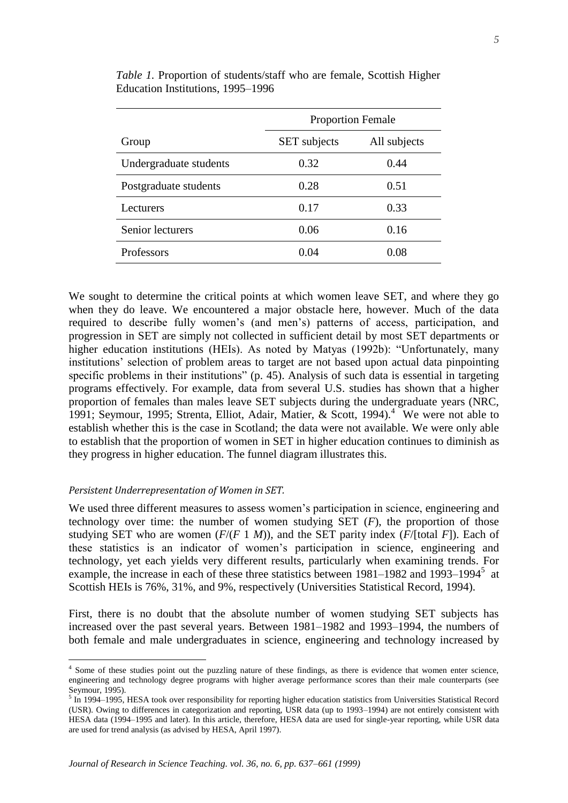|                        | <b>Proportion Female</b> |              |  |
|------------------------|--------------------------|--------------|--|
| Group                  | <b>SET</b> subjects      | All subjects |  |
| Undergraduate students | 0.32                     | 0.44         |  |
| Postgraduate students  | 0.28                     | 0.51         |  |
| Lecturers              | 0.17                     | 0.33         |  |
| Senior lecturers       | 0.06                     | 0.16         |  |
| Professors             | 0.04                     | 0.08         |  |
|                        |                          |              |  |

*Table 1.* Proportion of students/staff who are female, Scottish Higher Education Institutions, 1995–1996

We sought to determine the critical points at which women leave SET, and where they go when they do leave. We encountered a major obstacle here, however. Much of the data required to describe fully women's (and men's) patterns of access, participation, and progression in SET are simply not collected in sufficient detail by most SET departments or higher education institutions (HEIs). As noted by Matyas (1992b): "Unfortunately, many institutions' selection of problem areas to target are not based upon actual data pinpointing specific problems in their institutions" (p. 45). Analysis of such data is essential in targeting programs effectively. For example, data from several U.S. studies has shown that a higher proportion of females than males leave SET subjects during the undergraduate years (NRC, 1991; Seymour, 1995; Strenta, Elliot, Adair, Matier, & Scott, 1994).<sup>4</sup> We were not able to establish whether this is the case in Scotland; the data were not available. We were only able to establish that the proportion of women in SET in higher education continues to diminish as they progress in higher education. The funnel diagram illustrates this.

#### *Persistent Underrepresentation of Women in SET.*

<u>.</u>

We used three different measures to assess women's participation in science, engineering and technology over time: the number of women studying SET (*F*), the proportion of those studying SET who are women  $(F/(F \ 1 \ M))$ , and the SET parity index  $(F/[\text{total } F])$ . Each of these statistics is an indicator of women's participation in science, engineering and technology, yet each yields very different results, particularly when examining trends. For example, the increase in each of these three statistics between 1981–1982 and 1993–1994<sup>5</sup> at Scottish HEIs is 76%, 31%, and 9%, respectively (Universities Statistical Record, 1994).

First, there is no doubt that the absolute number of women studying SET subjects has increased over the past several years. Between 1981–1982 and 1993–1994, the numbers of both female and male undergraduates in science, engineering and technology increased by

<sup>&</sup>lt;sup>4</sup> Some of these studies point out the puzzling nature of these findings, as there is evidence that women enter science, engineering and technology degree programs with higher average performance scores than their male counterparts (see Seymour, 1995).<br><sup>5</sup> In 1994–1995, HESA took over responsibility for reporting higher education statistics from Universities Statistical Record

<sup>(</sup>USR). Owing to differences in categorization and reporting, USR data (up to 1993–1994) are not entirely consistent with HESA data (1994–1995 and later). In this article, therefore, HESA data are used for single-year reporting, while USR data are used for trend analysis (as advised by HESA, April 1997).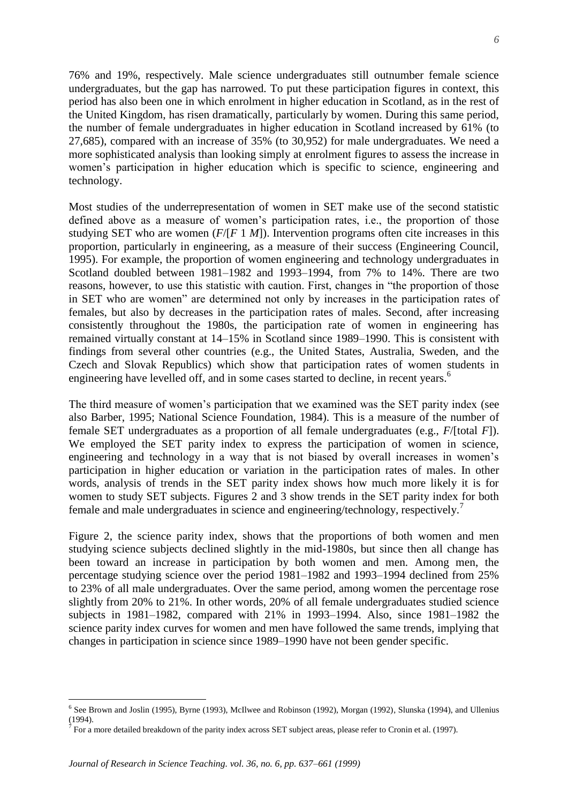76% and 19%, respectively. Male science undergraduates still outnumber female science undergraduates, but the gap has narrowed. To put these participation figures in context, this period has also been one in which enrolment in higher education in Scotland, as in the rest of the United Kingdom, has risen dramatically, particularly by women. During this same period, the number of female undergraduates in higher education in Scotland increased by 61% (to 27,685), compared with an increase of 35% (to 30,952) for male undergraduates. We need a more sophisticated analysis than looking simply at enrolment figures to assess the increase in women's participation in higher education which is specific to science, engineering and technology.

Most studies of the underrepresentation of women in SET make use of the second statistic defined above as a measure of women's participation rates, i.e., the proportion of those studying SET who are women (*F*/[*F* 1 *M*]). Intervention programs often cite increases in this proportion, particularly in engineering, as a measure of their success (Engineering Council, 1995). For example, the proportion of women engineering and technology undergraduates in Scotland doubled between 1981–1982 and 1993–1994, from 7% to 14%. There are two reasons, however, to use this statistic with caution. First, changes in "the proportion of those in SET who are women" are determined not only by increases in the participation rates of females, but also by decreases in the participation rates of males. Second, after increasing consistently throughout the 1980s, the participation rate of women in engineering has remained virtually constant at 14–15% in Scotland since 1989–1990. This is consistent with findings from several other countries (e.g., the United States, Australia, Sweden, and the Czech and Slovak Republics) which show that participation rates of women students in engineering have levelled off, and in some cases started to decline, in recent years.<sup>6</sup>

The third measure of women's participation that we examined was the SET parity index (see also Barber, 1995; National Science Foundation, 1984). This is a measure of the number of female SET undergraduates as a proportion of all female undergraduates (e.g., *F*/[total *F*]). We employed the SET parity index to express the participation of women in science, engineering and technology in a way that is not biased by overall increases in women's participation in higher education or variation in the participation rates of males. In other words, analysis of trends in the SET parity index shows how much more likely it is for women to study SET subjects. Figures 2 and 3 show trends in the SET parity index for both female and male undergraduates in science and engineering/technology, respectively.<sup>7</sup>

Figure 2, the science parity index, shows that the proportions of both women and men studying science subjects declined slightly in the mid-1980s, but since then all change has been toward an increase in participation by both women and men. Among men, the percentage studying science over the period 1981–1982 and 1993–1994 declined from 25% to 23% of all male undergraduates. Over the same period, among women the percentage rose slightly from 20% to 21%. In other words, 20% of all female undergraduates studied science subjects in 1981–1982, compared with 21% in 1993–1994. Also, since 1981–1982 the science parity index curves for women and men have followed the same trends, implying that changes in participation in science since 1989–1990 have not been gender specific.

<sup>6</sup> See Brown and Joslin (1995), Byrne (1993), McIlwee and Robinson (1992), Morgan (1992), Slunska (1994), and Ullenius (1994).

 $\vec{\tau}$  For a more detailed breakdown of the parity index across SET subject areas, please refer to Cronin et al. (1997).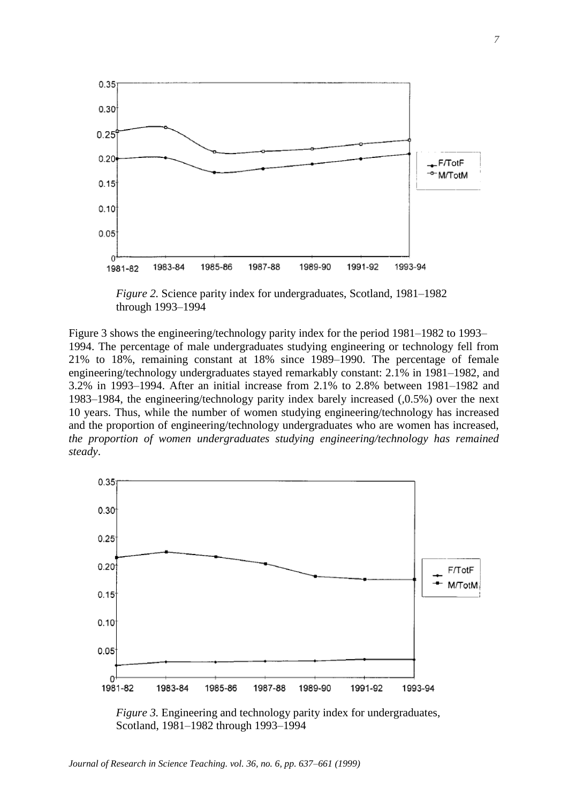

*Figure 2.* Science parity index for undergraduates, Scotland, 1981–1982 through 1993–1994

Figure 3 shows the engineering/technology parity index for the period 1981–1982 to 1993– 1994. The percentage of male undergraduates studying engineering or technology fell from 21% to 18%, remaining constant at 18% since 1989–1990. The percentage of female engineering/technology undergraduates stayed remarkably constant: 2.1% in 1981–1982, and 3.2% in 1993–1994. After an initial increase from 2.1% to 2.8% between 1981–1982 and 1983–1984, the engineering/technology parity index barely increased (,0.5%) over the next 10 years. Thus, while the number of women studying engineering/technology has increased and the proportion of engineering/technology undergraduates who are women has increased, *the proportion of women undergraduates studying engineering/technology has remained steady*.



*Figure 3.* Engineering and technology parity index for undergraduates, Scotland, 1981–1982 through 1993–1994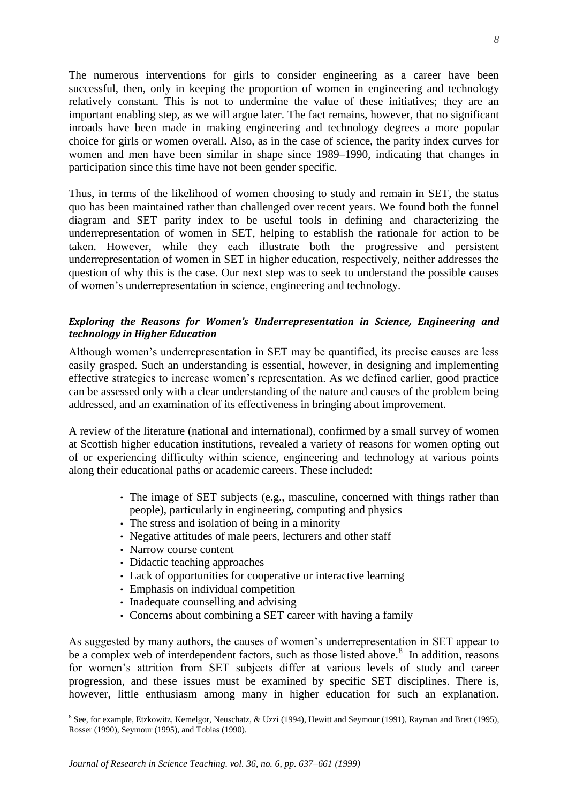The numerous interventions for girls to consider engineering as a career have been successful, then, only in keeping the proportion of women in engineering and technology relatively constant. This is not to undermine the value of these initiatives; they are an important enabling step, as we will argue later. The fact remains, however, that no significant inroads have been made in making engineering and technology degrees a more popular choice for girls or women overall. Also, as in the case of science, the parity index curves for women and men have been similar in shape since 1989–1990, indicating that changes in participation since this time have not been gender specific.

Thus, in terms of the likelihood of women choosing to study and remain in SET, the status quo has been maintained rather than challenged over recent years. We found both the funnel diagram and SET parity index to be useful tools in defining and characterizing the underrepresentation of women in SET, helping to establish the rationale for action to be taken. However, while they each illustrate both the progressive and persistent underrepresentation of women in SET in higher education, respectively, neither addresses the question of why this is the case. Our next step was to seek to understand the possible causes of women's underrepresentation in science, engineering and technology.

### *Exploring the Reasons for Women's Underrepresentation in Science, Engineering and technology in Higher Education*

Although women's underrepresentation in SET may be quantified, its precise causes are less easily grasped. Such an understanding is essential, however, in designing and implementing effective strategies to increase women's representation. As we defined earlier, good practice can be assessed only with a clear understanding of the nature and causes of the problem being addressed, and an examination of its effectiveness in bringing about improvement.

A review of the literature (national and international), confirmed by a small survey of women at Scottish higher education institutions, revealed a variety of reasons for women opting out of or experiencing difficulty within science, engineering and technology at various points along their educational paths or academic careers. These included:

- The image of SET subjects (e.g., masculine, concerned with things rather than people), particularly in engineering, computing and physics
- The stress and isolation of being in a minority
- Negative attitudes of male peers, lecturers and other staff
- Narrow course content
- Didactic teaching approaches
- Lack of opportunities for cooperative or interactive learning
- Emphasis on individual competition
- Inadequate counselling and advising
- Concerns about combining a SET career with having a family

As suggested by many authors, the causes of women's underrepresentation in SET appear to be a complex web of interdependent factors, such as those listed above.<sup>8</sup> In addition, reasons for women's attrition from SET subjects differ at various levels of study and career progression, and these issues must be examined by specific SET disciplines. There is, however, little enthusiasm among many in higher education for such an explanation.

weed also example, Etzkowitz, Kemelgor, Neuschatz, & Uzzi (1994), Hewitt and Seymour (1991), Rayman and Brett (1995),  $\frac{8}{1995}$ Rosser (1990), Seymour (1995), and Tobias (1990).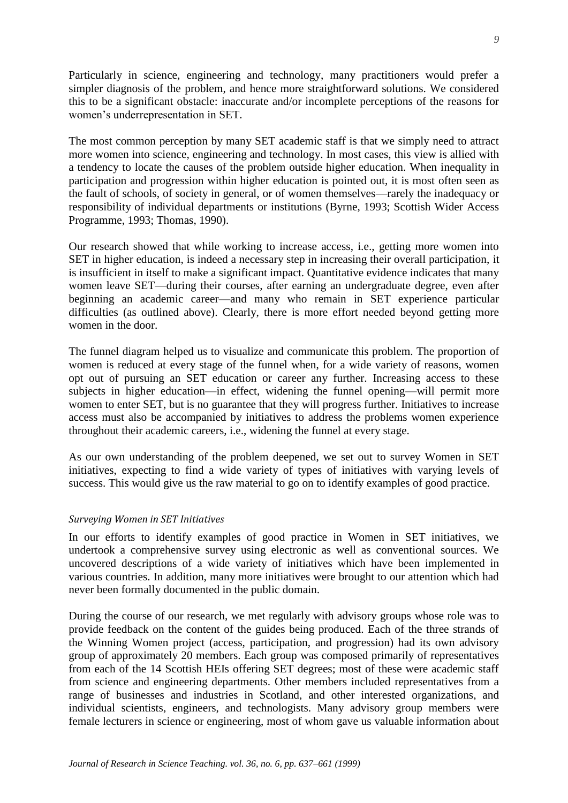Particularly in science, engineering and technology, many practitioners would prefer a simpler diagnosis of the problem, and hence more straightforward solutions. We considered this to be a significant obstacle: inaccurate and/or incomplete perceptions of the reasons for women's underrepresentation in SET.

The most common perception by many SET academic staff is that we simply need to attract more women into science, engineering and technology. In most cases, this view is allied with a tendency to locate the causes of the problem outside higher education. When inequality in participation and progression within higher education is pointed out, it is most often seen as the fault of schools, of society in general, or of women themselves—rarely the inadequacy or responsibility of individual departments or institutions (Byrne, 1993; Scottish Wider Access Programme, 1993; Thomas, 1990).

Our research showed that while working to increase access, i.e., getting more women into SET in higher education, is indeed a necessary step in increasing their overall participation, it is insufficient in itself to make a significant impact. Quantitative evidence indicates that many women leave SET—during their courses, after earning an undergraduate degree, even after beginning an academic career—and many who remain in SET experience particular difficulties (as outlined above). Clearly, there is more effort needed beyond getting more women in the door.

The funnel diagram helped us to visualize and communicate this problem. The proportion of women is reduced at every stage of the funnel when, for a wide variety of reasons, women opt out of pursuing an SET education or career any further. Increasing access to these subjects in higher education—in effect, widening the funnel opening—will permit more women to enter SET, but is no guarantee that they will progress further. Initiatives to increase access must also be accompanied by initiatives to address the problems women experience throughout their academic careers, i.e., widening the funnel at every stage.

As our own understanding of the problem deepened, we set out to survey Women in SET initiatives, expecting to find a wide variety of types of initiatives with varying levels of success. This would give us the raw material to go on to identify examples of good practice.

### *Surveying Women in SET Initiatives*

In our efforts to identify examples of good practice in Women in SET initiatives, we undertook a comprehensive survey using electronic as well as conventional sources. We uncovered descriptions of a wide variety of initiatives which have been implemented in various countries. In addition, many more initiatives were brought to our attention which had never been formally documented in the public domain.

During the course of our research, we met regularly with advisory groups whose role was to provide feedback on the content of the guides being produced. Each of the three strands of the Winning Women project (access, participation, and progression) had its own advisory group of approximately 20 members. Each group was composed primarily of representatives from each of the 14 Scottish HEIs offering SET degrees; most of these were academic staff from science and engineering departments. Other members included representatives from a range of businesses and industries in Scotland, and other interested organizations, and individual scientists, engineers, and technologists. Many advisory group members were female lecturers in science or engineering, most of whom gave us valuable information about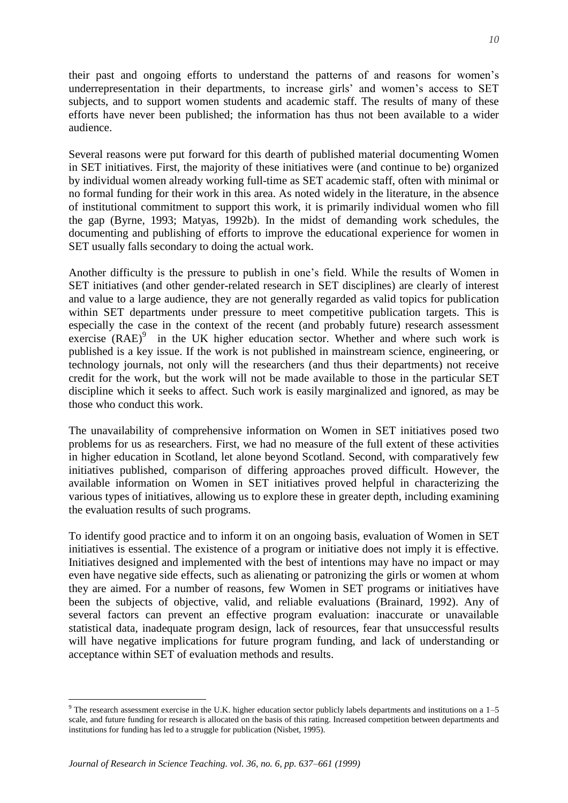their past and ongoing efforts to understand the patterns of and reasons for women's underrepresentation in their departments, to increase girls' and women's access to SET subjects, and to support women students and academic staff. The results of many of these efforts have never been published; the information has thus not been available to a wider audience.

Several reasons were put forward for this dearth of published material documenting Women in SET initiatives. First, the majority of these initiatives were (and continue to be) organized by individual women already working full-time as SET academic staff, often with minimal or no formal funding for their work in this area. As noted widely in the literature, in the absence of institutional commitment to support this work, it is primarily individual women who fill the gap (Byrne, 1993; Matyas, 1992b). In the midst of demanding work schedules, the documenting and publishing of efforts to improve the educational experience for women in SET usually falls secondary to doing the actual work.

Another difficulty is the pressure to publish in one's field. While the results of Women in SET initiatives (and other gender-related research in SET disciplines) are clearly of interest and value to a large audience, they are not generally regarded as valid topics for publication within SET departments under pressure to meet competitive publication targets. This is especially the case in the context of the recent (and probably future) research assessment exercise  $(RAE)^9$  in the UK higher education sector. Whether and where such work is published is a key issue. If the work is not published in mainstream science, engineering, or technology journals, not only will the researchers (and thus their departments) not receive credit for the work, but the work will not be made available to those in the particular SET discipline which it seeks to affect. Such work is easily marginalized and ignored, as may be those who conduct this work.

The unavailability of comprehensive information on Women in SET initiatives posed two problems for us as researchers. First, we had no measure of the full extent of these activities in higher education in Scotland, let alone beyond Scotland. Second, with comparatively few initiatives published, comparison of differing approaches proved difficult. However, the available information on Women in SET initiatives proved helpful in characterizing the various types of initiatives, allowing us to explore these in greater depth, including examining the evaluation results of such programs.

To identify good practice and to inform it on an ongoing basis, evaluation of Women in SET initiatives is essential. The existence of a program or initiative does not imply it is effective. Initiatives designed and implemented with the best of intentions may have no impact or may even have negative side effects, such as alienating or patronizing the girls or women at whom they are aimed. For a number of reasons, few Women in SET programs or initiatives have been the subjects of objective, valid, and reliable evaluations (Brainard, 1992). Any of several factors can prevent an effective program evaluation: inaccurate or unavailable statistical data, inadequate program design, lack of resources, fear that unsuccessful results will have negative implications for future program funding, and lack of understanding or acceptance within SET of evaluation methods and results.

 $9$  The research assessment exercise in the U.K. higher education sector publicly labels departments and institutions on a  $1-5$ scale, and future funding for research is allocated on the basis of this rating. Increased competition between departments and institutions for funding has led to a struggle for publication (Nisbet, 1995).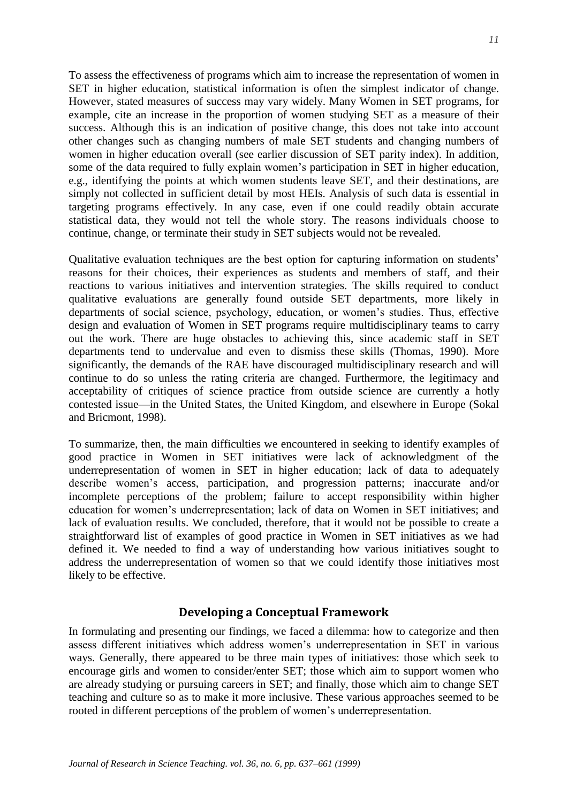To assess the effectiveness of programs which aim to increase the representation of women in SET in higher education, statistical information is often the simplest indicator of change. However, stated measures of success may vary widely. Many Women in SET programs, for example, cite an increase in the proportion of women studying SET as a measure of their success. Although this is an indication of positive change, this does not take into account other changes such as changing numbers of male SET students and changing numbers of women in higher education overall (see earlier discussion of SET parity index). In addition, some of the data required to fully explain women's participation in SET in higher education, e.g., identifying the points at which women students leave SET, and their destinations, are simply not collected in sufficient detail by most HEIs. Analysis of such data is essential in targeting programs effectively. In any case, even if one could readily obtain accurate statistical data, they would not tell the whole story. The reasons individuals choose to continue, change, or terminate their study in SET subjects would not be revealed.

Qualitative evaluation techniques are the best option for capturing information on students' reasons for their choices, their experiences as students and members of staff, and their reactions to various initiatives and intervention strategies. The skills required to conduct qualitative evaluations are generally found outside SET departments, more likely in departments of social science, psychology, education, or women's studies. Thus, effective design and evaluation of Women in SET programs require multidisciplinary teams to carry out the work. There are huge obstacles to achieving this, since academic staff in SET departments tend to undervalue and even to dismiss these skills (Thomas, 1990). More significantly, the demands of the RAE have discouraged multidisciplinary research and will continue to do so unless the rating criteria are changed. Furthermore, the legitimacy and acceptability of critiques of science practice from outside science are currently a hotly contested issue—in the United States, the United Kingdom, and elsewhere in Europe (Sokal and Bricmont, 1998).

To summarize, then, the main difficulties we encountered in seeking to identify examples of good practice in Women in SET initiatives were lack of acknowledgment of the underrepresentation of women in SET in higher education; lack of data to adequately describe women's access, participation, and progression patterns; inaccurate and/or incomplete perceptions of the problem; failure to accept responsibility within higher education for women's underrepresentation; lack of data on Women in SET initiatives; and lack of evaluation results. We concluded, therefore, that it would not be possible to create a straightforward list of examples of good practice in Women in SET initiatives as we had defined it. We needed to find a way of understanding how various initiatives sought to address the underrepresentation of women so that we could identify those initiatives most likely to be effective.

### **Developing a Conceptual Framework**

In formulating and presenting our findings, we faced a dilemma: how to categorize and then assess different initiatives which address women's underrepresentation in SET in various ways. Generally, there appeared to be three main types of initiatives: those which seek to encourage girls and women to consider/enter SET; those which aim to support women who are already studying or pursuing careers in SET; and finally, those which aim to change SET teaching and culture so as to make it more inclusive. These various approaches seemed to be rooted in different perceptions of the problem of women's underrepresentation.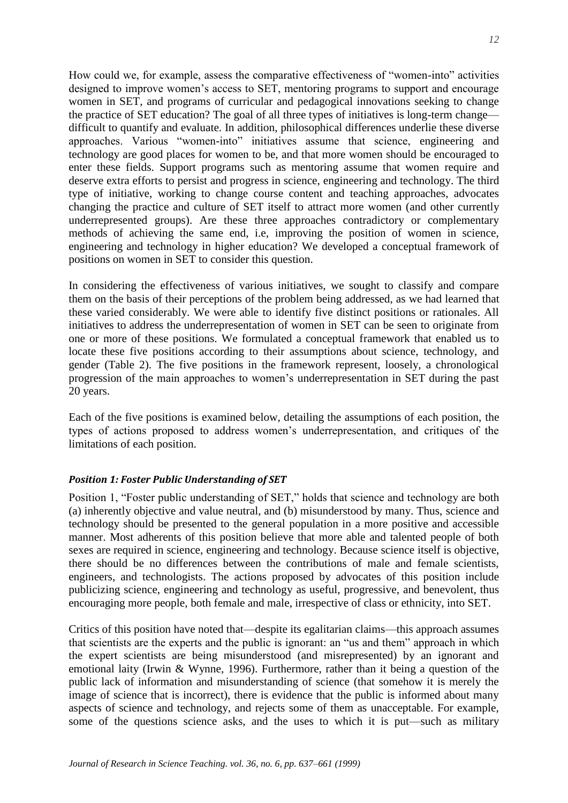How could we, for example, assess the comparative effectiveness of "women-into" activities designed to improve women's access to SET, mentoring programs to support and encourage women in SET, and programs of curricular and pedagogical innovations seeking to change the practice of SET education? The goal of all three types of initiatives is long-term change difficult to quantify and evaluate. In addition, philosophical differences underlie these diverse approaches. Various "women-into" initiatives assume that science, engineering and technology are good places for women to be, and that more women should be encouraged to enter these fields. Support programs such as mentoring assume that women require and deserve extra efforts to persist and progress in science, engineering and technology. The third type of initiative, working to change course content and teaching approaches, advocates changing the practice and culture of SET itself to attract more women (and other currently underrepresented groups). Are these three approaches contradictory or complementary methods of achieving the same end, i.e, improving the position of women in science, engineering and technology in higher education? We developed a conceptual framework of positions on women in SET to consider this question.

In considering the effectiveness of various initiatives, we sought to classify and compare them on the basis of their perceptions of the problem being addressed, as we had learned that these varied considerably. We were able to identify five distinct positions or rationales. All initiatives to address the underrepresentation of women in SET can be seen to originate from one or more of these positions. We formulated a conceptual framework that enabled us to locate these five positions according to their assumptions about science, technology, and gender (Table 2). The five positions in the framework represent, loosely, a chronological progression of the main approaches to women's underrepresentation in SET during the past 20 years.

Each of the five positions is examined below, detailing the assumptions of each position, the types of actions proposed to address women's underrepresentation, and critiques of the limitations of each position.

### *Position 1: Foster Public Understanding of SET*

Position 1, "Foster public understanding of SET," holds that science and technology are both (a) inherently objective and value neutral, and (b) misunderstood by many. Thus, science and technology should be presented to the general population in a more positive and accessible manner. Most adherents of this position believe that more able and talented people of both sexes are required in science, engineering and technology. Because science itself is objective, there should be no differences between the contributions of male and female scientists, engineers, and technologists. The actions proposed by advocates of this position include publicizing science, engineering and technology as useful, progressive, and benevolent, thus encouraging more people, both female and male, irrespective of class or ethnicity, into SET.

Critics of this position have noted that—despite its egalitarian claims—this approach assumes that scientists are the experts and the public is ignorant: an "us and them" approach in which the expert scientists are being misunderstood (and misrepresented) by an ignorant and emotional laity (Irwin & Wynne, 1996). Furthermore, rather than it being a question of the public lack of information and misunderstanding of science (that somehow it is merely the image of science that is incorrect), there is evidence that the public is informed about many aspects of science and technology, and rejects some of them as unacceptable. For example, some of the questions science asks, and the uses to which it is put—such as military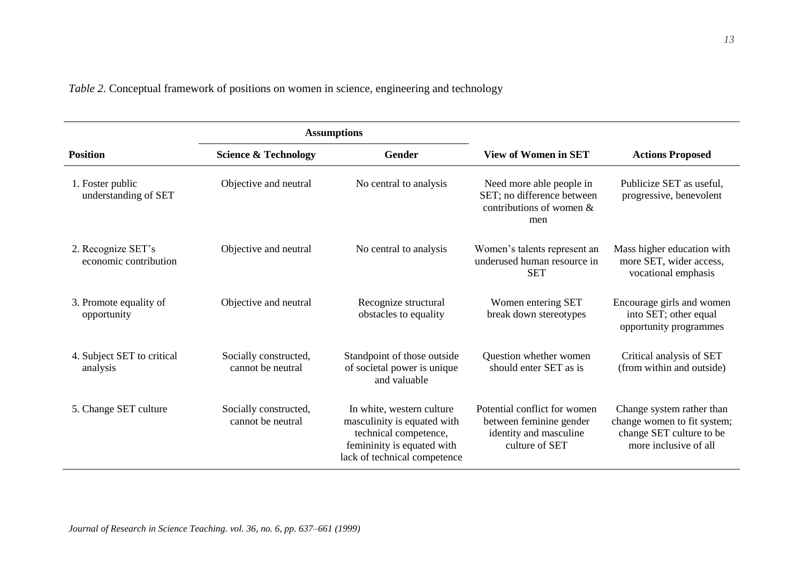*Table 2.* Conceptual framework of positions on women in science, engineering and technology

|                                             | <b>Assumptions</b>                         |                                                                                                                                                 |                                                                                                     |                                                                                                               |
|---------------------------------------------|--------------------------------------------|-------------------------------------------------------------------------------------------------------------------------------------------------|-----------------------------------------------------------------------------------------------------|---------------------------------------------------------------------------------------------------------------|
| <b>Position</b>                             | <b>Science &amp; Technology</b>            | <b>Gender</b>                                                                                                                                   | <b>View of Women in SET</b>                                                                         | <b>Actions Proposed</b>                                                                                       |
| 1. Foster public<br>understanding of SET    | Objective and neutral                      | No central to analysis                                                                                                                          | Need more able people in<br>SET; no difference between<br>contributions of women $\&$<br>men        | Publicize SET as useful,<br>progressive, benevolent                                                           |
| 2. Recognize SET's<br>economic contribution | Objective and neutral                      | No central to analysis                                                                                                                          | Women's talents represent an<br>underused human resource in<br><b>SET</b>                           | Mass higher education with<br>more SET, wider access,<br>vocational emphasis                                  |
| 3. Promote equality of<br>opportunity       | Objective and neutral                      | Recognize structural<br>obstacles to equality                                                                                                   | Women entering SET<br>break down stereotypes                                                        | Encourage girls and women<br>into SET; other equal<br>opportunity programmes                                  |
| 4. Subject SET to critical<br>analysis      | Socially constructed,<br>cannot be neutral | Standpoint of those outside<br>of societal power is unique<br>and valuable                                                                      | <b>Ouestion whether women</b><br>should enter SET as is                                             | Critical analysis of SET<br>(from within and outside)                                                         |
| 5. Change SET culture                       | Socially constructed,<br>cannot be neutral | In white, western culture<br>masculinity is equated with<br>technical competence,<br>femininity is equated with<br>lack of technical competence | Potential conflict for women<br>between feminine gender<br>identity and masculine<br>culture of SET | Change system rather than<br>change women to fit system;<br>change SET culture to be<br>more inclusive of all |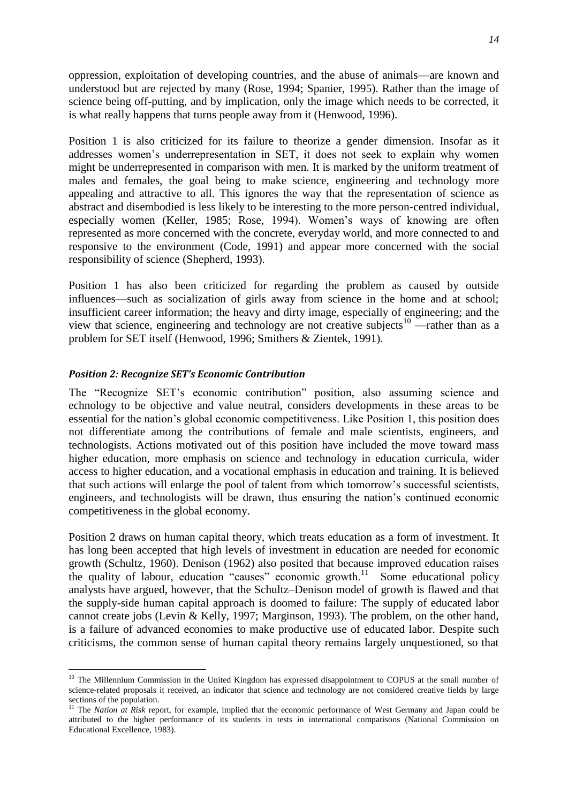oppression, exploitation of developing countries, and the abuse of animals—are known and understood but are rejected by many (Rose, 1994; Spanier, 1995). Rather than the image of science being off-putting, and by implication, only the image which needs to be corrected, it is what really happens that turns people away from it (Henwood, 1996).

Position 1 is also criticized for its failure to theorize a gender dimension. Insofar as it addresses women's underrepresentation in SET, it does not seek to explain why women might be underrepresented in comparison with men. It is marked by the uniform treatment of males and females, the goal being to make science, engineering and technology more appealing and attractive to all. This ignores the way that the representation of science as abstract and disembodied is less likely to be interesting to the more person-centred individual, especially women (Keller, 1985; Rose, 1994). Women's ways of knowing are often represented as more concerned with the concrete, everyday world, and more connected to and responsive to the environment (Code, 1991) and appear more concerned with the social responsibility of science (Shepherd, 1993).

Position 1 has also been criticized for regarding the problem as caused by outside influences—such as socialization of girls away from science in the home and at school; insufficient career information; the heavy and dirty image, especially of engineering; and the view that science, engineering and technology are not creative subjects<sup>10</sup> —rather than as a problem for SET itself (Henwood, 1996; Smithers & Zientek, 1991).

#### *Position 2: Recognize SET's Economic Contribution*

1

The "Recognize SET's economic contribution" position, also assuming science and echnology to be objective and value neutral, considers developments in these areas to be essential for the nation's global economic competitiveness. Like Position 1, this position does not differentiate among the contributions of female and male scientists, engineers, and technologists. Actions motivated out of this position have included the move toward mass higher education, more emphasis on science and technology in education curricula, wider access to higher education, and a vocational emphasis in education and training. It is believed that such actions will enlarge the pool of talent from which tomorrow's successful scientists, engineers, and technologists will be drawn, thus ensuring the nation's continued economic competitiveness in the global economy.

Position 2 draws on human capital theory, which treats education as a form of investment. It has long been accepted that high levels of investment in education are needed for economic growth (Schultz, 1960). Denison (1962) also posited that because improved education raises the quality of labour, education "causes" economic growth.<sup>11</sup> Some educational policy analysts have argued, however, that the Schultz–Denison model of growth is flawed and that the supply-side human capital approach is doomed to failure: The supply of educated labor cannot create jobs (Levin & Kelly, 1997; Marginson, 1993). The problem, on the other hand, is a failure of advanced economies to make productive use of educated labor. Despite such criticisms, the common sense of human capital theory remains largely unquestioned, so that

<sup>&</sup>lt;sup>10</sup> The Millennium Commission in the United Kingdom has expressed disappointment to COPUS at the small number of science-related proposals it received, an indicator that science and technology are not considered creative fields by large sections of the population.

<sup>&</sup>lt;sup>11</sup> The *Nation at Risk* report, for example, implied that the economic performance of West Germany and Japan could be attributed to the higher performance of its students in tests in international comparisons (National Commission on Educational Excellence, 1983).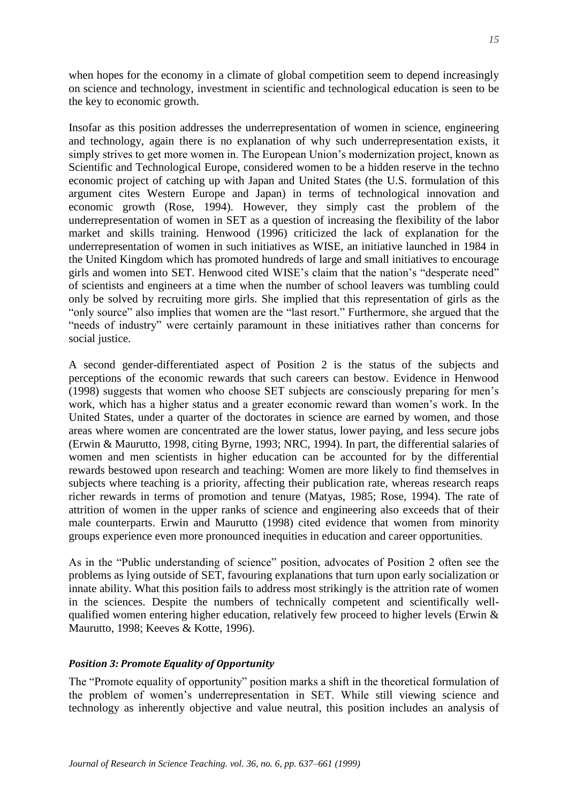when hopes for the economy in a climate of global competition seem to depend increasingly on science and technology, investment in scientific and technological education is seen to be the key to economic growth.

Insofar as this position addresses the underrepresentation of women in science, engineering and technology, again there is no explanation of why such underrepresentation exists, it simply strives to get more women in. The European Union's modernization project, known as Scientific and Technological Europe, considered women to be a hidden reserve in the techno economic project of catching up with Japan and United States (the U.S. formulation of this argument cites Western Europe and Japan) in terms of technological innovation and economic growth (Rose, 1994). However, they simply cast the problem of the underrepresentation of women in SET as a question of increasing the flexibility of the labor market and skills training. Henwood (1996) criticized the lack of explanation for the underrepresentation of women in such initiatives as WISE, an initiative launched in 1984 in the United Kingdom which has promoted hundreds of large and small initiatives to encourage girls and women into SET. Henwood cited WISE's claim that the nation's "desperate need" of scientists and engineers at a time when the number of school leavers was tumbling could only be solved by recruiting more girls. She implied that this representation of girls as the "only source" also implies that women are the "last resort." Furthermore, she argued that the "needs of industry" were certainly paramount in these initiatives rather than concerns for social justice.

A second gender-differentiated aspect of Position 2 is the status of the subjects and perceptions of the economic rewards that such careers can bestow. Evidence in Henwood (1998) suggests that women who choose SET subjects are consciously preparing for men's work, which has a higher status and a greater economic reward than women's work. In the United States, under a quarter of the doctorates in science are earned by women, and those areas where women are concentrated are the lower status, lower paying, and less secure jobs (Erwin & Maurutto, 1998, citing Byrne, 1993; NRC, 1994). In part, the differential salaries of women and men scientists in higher education can be accounted for by the differential rewards bestowed upon research and teaching: Women are more likely to find themselves in subjects where teaching is a priority, affecting their publication rate, whereas research reaps richer rewards in terms of promotion and tenure (Matyas, 1985; Rose, 1994). The rate of attrition of women in the upper ranks of science and engineering also exceeds that of their male counterparts. Erwin and Maurutto (1998) cited evidence that women from minority groups experience even more pronounced inequities in education and career opportunities.

As in the "Public understanding of science" position, advocates of Position 2 often see the problems as lying outside of SET, favouring explanations that turn upon early socialization or innate ability. What this position fails to address most strikingly is the attrition rate of women in the sciences. Despite the numbers of technically competent and scientifically wellqualified women entering higher education, relatively few proceed to higher levels (Erwin & Maurutto, 1998; Keeves & Kotte, 1996).

### *Position 3: Promote Equality of Opportunity*

The "Promote equality of opportunity" position marks a shift in the theoretical formulation of the problem of women's underrepresentation in SET. While still viewing science and technology as inherently objective and value neutral, this position includes an analysis of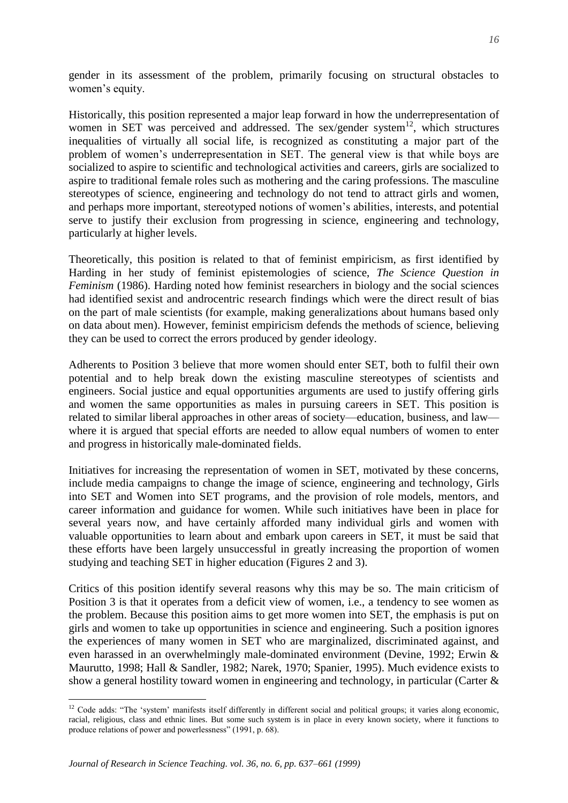gender in its assessment of the problem, primarily focusing on structural obstacles to women's equity.

Historically, this position represented a major leap forward in how the underrepresentation of women in SET was perceived and addressed. The sex/gender system $^{12}$ , which structures inequalities of virtually all social life, is recognized as constituting a major part of the problem of women's underrepresentation in SET. The general view is that while boys are socialized to aspire to scientific and technological activities and careers, girls are socialized to aspire to traditional female roles such as mothering and the caring professions. The masculine stereotypes of science, engineering and technology do not tend to attract girls and women, and perhaps more important, stereotyped notions of women's abilities, interests, and potential serve to justify their exclusion from progressing in science, engineering and technology, particularly at higher levels.

Theoretically, this position is related to that of feminist empiricism, as first identified by Harding in her study of feminist epistemologies of science, *The Science Question in Feminism* (1986). Harding noted how feminist researchers in biology and the social sciences had identified sexist and androcentric research findings which were the direct result of bias on the part of male scientists (for example, making generalizations about humans based only on data about men). However, feminist empiricism defends the methods of science, believing they can be used to correct the errors produced by gender ideology.

Adherents to Position 3 believe that more women should enter SET, both to fulfil their own potential and to help break down the existing masculine stereotypes of scientists and engineers. Social justice and equal opportunities arguments are used to justify offering girls and women the same opportunities as males in pursuing careers in SET. This position is related to similar liberal approaches in other areas of society—education, business, and law where it is argued that special efforts are needed to allow equal numbers of women to enter and progress in historically male-dominated fields.

Initiatives for increasing the representation of women in SET, motivated by these concerns, include media campaigns to change the image of science, engineering and technology, Girls into SET and Women into SET programs, and the provision of role models, mentors, and career information and guidance for women. While such initiatives have been in place for several years now, and have certainly afforded many individual girls and women with valuable opportunities to learn about and embark upon careers in SET, it must be said that these efforts have been largely unsuccessful in greatly increasing the proportion of women studying and teaching SET in higher education (Figures 2 and 3).

Critics of this position identify several reasons why this may be so. The main criticism of Position 3 is that it operates from a deficit view of women, i.e., a tendency to see women as the problem. Because this position aims to get more women into SET, the emphasis is put on girls and women to take up opportunities in science and engineering. Such a position ignores the experiences of many women in SET who are marginalized, discriminated against, and even harassed in an overwhelmingly male-dominated environment (Devine, 1992; Erwin & Maurutto, 1998; Hall & Sandler, 1982; Narek, 1970; Spanier, 1995). Much evidence exists to show a general hostility toward women in engineering and technology, in particular (Carter &

<sup>&</sup>lt;sup>12</sup> Code adds: "The 'system' manifests itself differently in different social and political groups; it varies along economic, racial, religious, class and ethnic lines. But some such system is in place in every known society, where it functions to produce relations of power and powerlessness" (1991, p. 68).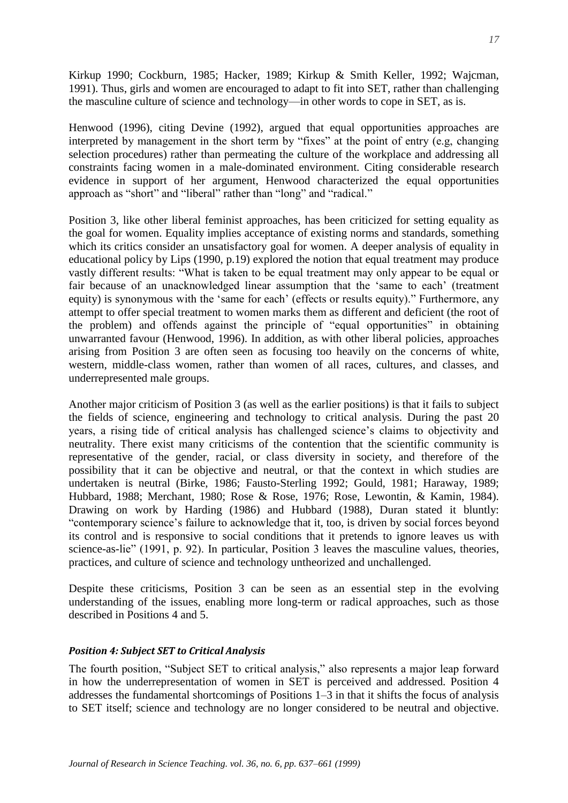Kirkup 1990; Cockburn, 1985; Hacker, 1989; Kirkup & Smith Keller, 1992; Wajcman, 1991). Thus, girls and women are encouraged to adapt to fit into SET, rather than challenging the masculine culture of science and technology—in other words to cope in SET, as is.

Henwood (1996), citing Devine (1992), argued that equal opportunities approaches are interpreted by management in the short term by "fixes" at the point of entry (e.g, changing selection procedures) rather than permeating the culture of the workplace and addressing all constraints facing women in a male-dominated environment. Citing considerable research evidence in support of her argument, Henwood characterized the equal opportunities approach as "short" and "liberal" rather than "long" and "radical."

Position 3, like other liberal feminist approaches, has been criticized for setting equality as the goal for women. Equality implies acceptance of existing norms and standards, something which its critics consider an unsatisfactory goal for women. A deeper analysis of equality in educational policy by Lips (1990, p.19) explored the notion that equal treatment may produce vastly different results: "What is taken to be equal treatment may only appear to be equal or fair because of an unacknowledged linear assumption that the 'same to each' (treatment equity) is synonymous with the 'same for each' (effects or results equity)." Furthermore, any attempt to offer special treatment to women marks them as different and deficient (the root of the problem) and offends against the principle of "equal opportunities" in obtaining unwarranted favour (Henwood, 1996). In addition, as with other liberal policies, approaches arising from Position 3 are often seen as focusing too heavily on the concerns of white, western, middle-class women, rather than women of all races, cultures, and classes, and underrepresented male groups.

Another major criticism of Position 3 (as well as the earlier positions) is that it fails to subject the fields of science, engineering and technology to critical analysis. During the past 20 years, a rising tide of critical analysis has challenged science's claims to objectivity and neutrality. There exist many criticisms of the contention that the scientific community is representative of the gender, racial, or class diversity in society, and therefore of the possibility that it can be objective and neutral, or that the context in which studies are undertaken is neutral (Birke, 1986; Fausto-Sterling 1992; Gould, 1981; Haraway, 1989; Hubbard, 1988; Merchant, 1980; Rose & Rose, 1976; Rose, Lewontin, & Kamin, 1984). Drawing on work by Harding (1986) and Hubbard (1988), Duran stated it bluntly: "contemporary science's failure to acknowledge that it, too, is driven by social forces beyond its control and is responsive to social conditions that it pretends to ignore leaves us with science-as-lie" (1991, p. 92). In particular, Position 3 leaves the masculine values, theories, practices, and culture of science and technology untheorized and unchallenged.

Despite these criticisms, Position 3 can be seen as an essential step in the evolving understanding of the issues, enabling more long-term or radical approaches, such as those described in Positions 4 and 5.

### *Position 4: Subject SET to Critical Analysis*

The fourth position, "Subject SET to critical analysis," also represents a major leap forward in how the underrepresentation of women in SET is perceived and addressed. Position 4 addresses the fundamental shortcomings of Positions 1–3 in that it shifts the focus of analysis to SET itself; science and technology are no longer considered to be neutral and objective.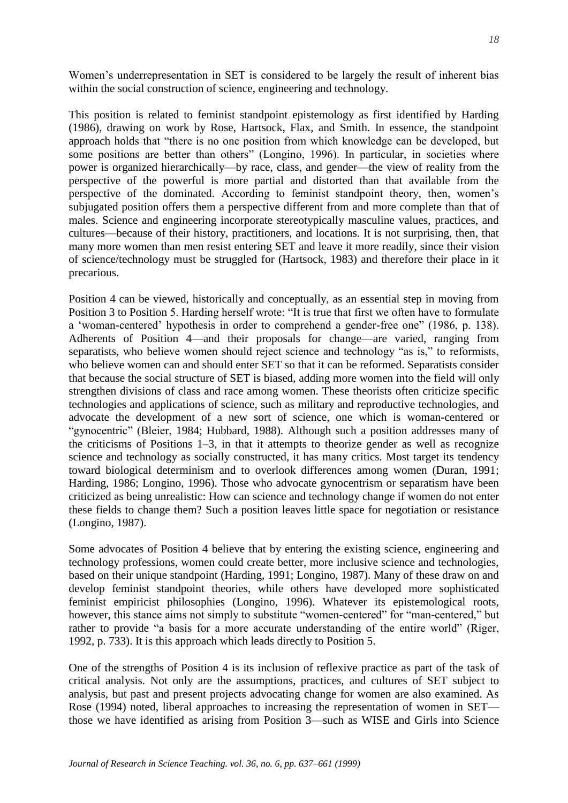Women's underrepresentation in SET is considered to be largely the result of inherent bias within the social construction of science, engineering and technology.

This position is related to feminist standpoint epistemology as first identified by Harding (1986), drawing on work by Rose, Hartsock, Flax, and Smith. In essence, the standpoint approach holds that "there is no one position from which knowledge can be developed, but some positions are better than others" (Longino, 1996). In particular, in societies where power is organized hierarchically—by race, class, and gender—the view of reality from the perspective of the powerful is more partial and distorted than that available from the perspective of the dominated. According to feminist standpoint theory, then, women's subjugated position offers them a perspective different from and more complete than that of males. Science and engineering incorporate stereotypically masculine values, practices, and cultures—because of their history, practitioners, and locations. It is not surprising, then, that many more women than men resist entering SET and leave it more readily, since their vision of science/technology must be struggled for (Hartsock, 1983) and therefore their place in it precarious.

Position 4 can be viewed, historically and conceptually, as an essential step in moving from Position 3 to Position 5. Harding herself wrote: "It is true that first we often have to formulate a 'woman-centered' hypothesis in order to comprehend a gender-free one" (1986, p. 138). Adherents of Position 4—and their proposals for change—are varied, ranging from separatists, who believe women should reject science and technology "as is," to reformists, who believe women can and should enter SET so that it can be reformed. Separatists consider that because the social structure of SET is biased, adding more women into the field will only strengthen divisions of class and race among women. These theorists often criticize specific technologies and applications of science, such as military and reproductive technologies, and advocate the development of a new sort of science, one which is woman-centered or "gynocentric" (Bleier, 1984; Hubbard, 1988). Although such a position addresses many of the criticisms of Positions 1–3, in that it attempts to theorize gender as well as recognize science and technology as socially constructed, it has many critics. Most target its tendency toward biological determinism and to overlook differences among women (Duran, 1991; Harding, 1986; Longino, 1996). Those who advocate gynocentrism or separatism have been criticized as being unrealistic: How can science and technology change if women do not enter these fields to change them? Such a position leaves little space for negotiation or resistance (Longino, 1987).

Some advocates of Position 4 believe that by entering the existing science, engineering and technology professions, women could create better, more inclusive science and technologies, based on their unique standpoint (Harding, 1991; Longino, 1987). Many of these draw on and develop feminist standpoint theories, while others have developed more sophisticated feminist empiricist philosophies (Longino, 1996). Whatever its epistemological roots, however, this stance aims not simply to substitute "women-centered" for "man-centered," but rather to provide "a basis for a more accurate understanding of the entire world" (Riger, 1992, p. 733). It is this approach which leads directly to Position 5.

One of the strengths of Position 4 is its inclusion of reflexive practice as part of the task of critical analysis. Not only are the assumptions, practices, and cultures of SET subject to analysis, but past and present projects advocating change for women are also examined. As Rose (1994) noted, liberal approaches to increasing the representation of women in SET those we have identified as arising from Position 3—such as WISE and Girls into Science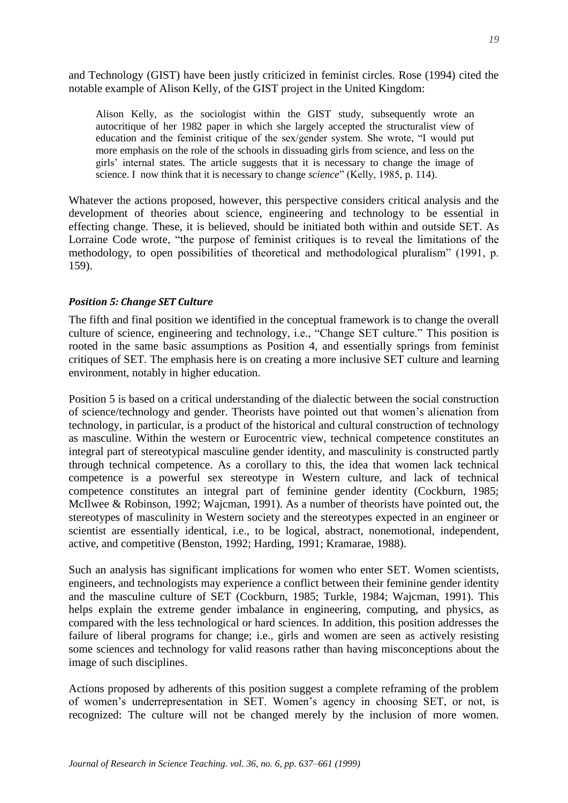and Technology (GIST) have been justly criticized in feminist circles. Rose (1994) cited the notable example of Alison Kelly, of the GIST project in the United Kingdom:

Alison Kelly, as the sociologist within the GIST study, subsequently wrote an autocritique of her 1982 paper in which she largely accepted the structuralist view of education and the feminist critique of the sex/gender system. She wrote, "I would put more emphasis on the role of the schools in dissuading girls from science, and less on the girls' internal states. The article suggests that it is necessary to change the image of science. I now think that it is necessary to change *science*" (Kelly, 1985, p. 114).

Whatever the actions proposed, however, this perspective considers critical analysis and the development of theories about science, engineering and technology to be essential in effecting change. These, it is believed, should be initiated both within and outside SET. As Lorraine Code wrote, "the purpose of feminist critiques is to reveal the limitations of the methodology, to open possibilities of theoretical and methodological pluralism" (1991, p. 159).

### *Position 5: Change SET Culture*

The fifth and final position we identified in the conceptual framework is to change the overall culture of science, engineering and technology, i.e., "Change SET culture." This position is rooted in the same basic assumptions as Position 4, and essentially springs from feminist critiques of SET. The emphasis here is on creating a more inclusive SET culture and learning environment, notably in higher education.

Position 5 is based on a critical understanding of the dialectic between the social construction of science/technology and gender. Theorists have pointed out that women's alienation from technology, in particular, is a product of the historical and cultural construction of technology as masculine. Within the western or Eurocentric view, technical competence constitutes an integral part of stereotypical masculine gender identity, and masculinity is constructed partly through technical competence. As a corollary to this, the idea that women lack technical competence is a powerful sex stereotype in Western culture, and lack of technical competence constitutes an integral part of feminine gender identity (Cockburn, 1985; McIlwee & Robinson, 1992; Wajcman, 1991). As a number of theorists have pointed out, the stereotypes of masculinity in Western society and the stereotypes expected in an engineer or scientist are essentially identical, i.e., to be logical, abstract, nonemotional, independent, active, and competitive (Benston, 1992; Harding, 1991; Kramarae, 1988).

Such an analysis has significant implications for women who enter SET. Women scientists, engineers, and technologists may experience a conflict between their feminine gender identity and the masculine culture of SET (Cockburn, 1985; Turkle, 1984; Wajcman, 1991). This helps explain the extreme gender imbalance in engineering, computing, and physics, as compared with the less technological or hard sciences. In addition, this position addresses the failure of liberal programs for change; i.e., girls and women are seen as actively resisting some sciences and technology for valid reasons rather than having misconceptions about the image of such disciplines.

Actions proposed by adherents of this position suggest a complete reframing of the problem of women's underrepresentation in SET. Women's agency in choosing SET, or not, is recognized: The culture will not be changed merely by the inclusion of more women.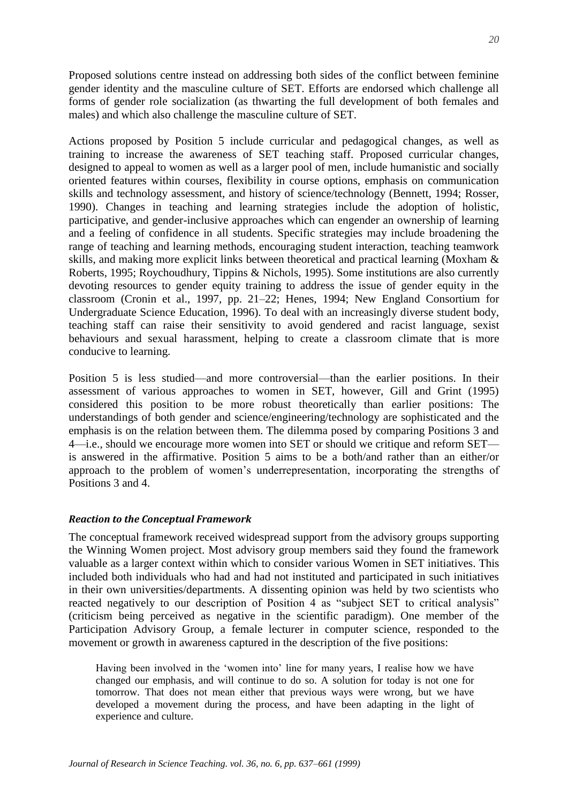Proposed solutions centre instead on addressing both sides of the conflict between feminine gender identity and the masculine culture of SET. Efforts are endorsed which challenge all forms of gender role socialization (as thwarting the full development of both females and males) and which also challenge the masculine culture of SET.

Actions proposed by Position 5 include curricular and pedagogical changes, as well as training to increase the awareness of SET teaching staff. Proposed curricular changes, designed to appeal to women as well as a larger pool of men, include humanistic and socially oriented features within courses, flexibility in course options, emphasis on communication skills and technology assessment, and history of science/technology (Bennett, 1994; Rosser, 1990). Changes in teaching and learning strategies include the adoption of holistic, participative, and gender-inclusive approaches which can engender an ownership of learning and a feeling of confidence in all students. Specific strategies may include broadening the range of teaching and learning methods, encouraging student interaction, teaching teamwork skills, and making more explicit links between theoretical and practical learning (Moxham & Roberts, 1995; Roychoudhury, Tippins & Nichols, 1995). Some institutions are also currently devoting resources to gender equity training to address the issue of gender equity in the classroom (Cronin et al., 1997, pp. 21–22; Henes, 1994; New England Consortium for Undergraduate Science Education, 1996). To deal with an increasingly diverse student body, teaching staff can raise their sensitivity to avoid gendered and racist language, sexist behaviours and sexual harassment, helping to create a classroom climate that is more conducive to learning.

Position 5 is less studied—and more controversial—than the earlier positions. In their assessment of various approaches to women in SET, however, Gill and Grint (1995) considered this position to be more robust theoretically than earlier positions: The understandings of both gender and science/engineering/technology are sophisticated and the emphasis is on the relation between them. The dilemma posed by comparing Positions 3 and 4—i.e., should we encourage more women into SET or should we critique and reform SET is answered in the affirmative. Position 5 aims to be a both/and rather than an either/or approach to the problem of women's underrepresentation, incorporating the strengths of Positions 3 and 4.

### *Reaction to the Conceptual Framework*

The conceptual framework received widespread support from the advisory groups supporting the Winning Women project. Most advisory group members said they found the framework valuable as a larger context within which to consider various Women in SET initiatives. This included both individuals who had and had not instituted and participated in such initiatives in their own universities/departments. A dissenting opinion was held by two scientists who reacted negatively to our description of Position 4 as "subject SET to critical analysis" (criticism being perceived as negative in the scientific paradigm). One member of the Participation Advisory Group, a female lecturer in computer science, responded to the movement or growth in awareness captured in the description of the five positions:

Having been involved in the 'women into' line for many years, I realise how we have changed our emphasis, and will continue to do so. A solution for today is not one for tomorrow. That does not mean either that previous ways were wrong, but we have developed a movement during the process, and have been adapting in the light of experience and culture.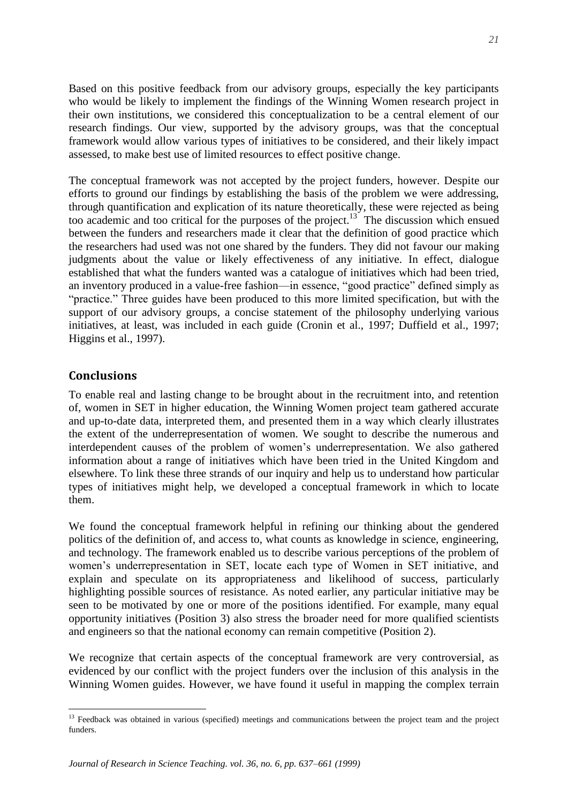Based on this positive feedback from our advisory groups, especially the key participants who would be likely to implement the findings of the Winning Women research project in their own institutions, we considered this conceptualization to be a central element of our research findings. Our view, supported by the advisory groups, was that the conceptual framework would allow various types of initiatives to be considered, and their likely impact assessed, to make best use of limited resources to effect positive change.

The conceptual framework was not accepted by the project funders, however. Despite our efforts to ground our findings by establishing the basis of the problem we were addressing, through quantification and explication of its nature theoretically, these were rejected as being too academic and too critical for the purposes of the project.<sup>13</sup> The discussion which ensued between the funders and researchers made it clear that the definition of good practice which the researchers had used was not one shared by the funders. They did not favour our making judgments about the value or likely effectiveness of any initiative. In effect, dialogue established that what the funders wanted was a catalogue of initiatives which had been tried, an inventory produced in a value-free fashion—in essence, "good practice" defined simply as "practice." Three guides have been produced to this more limited specification, but with the support of our advisory groups, a concise statement of the philosophy underlying various initiatives, at least, was included in each guide (Cronin et al., 1997; Duffield et al., 1997; Higgins et al., 1997).

## **Conclusions**

<u>.</u>

To enable real and lasting change to be brought about in the recruitment into, and retention of, women in SET in higher education, the Winning Women project team gathered accurate and up-to-date data, interpreted them, and presented them in a way which clearly illustrates the extent of the underrepresentation of women. We sought to describe the numerous and interdependent causes of the problem of women's underrepresentation. We also gathered information about a range of initiatives which have been tried in the United Kingdom and elsewhere. To link these three strands of our inquiry and help us to understand how particular types of initiatives might help, we developed a conceptual framework in which to locate them.

We found the conceptual framework helpful in refining our thinking about the gendered politics of the definition of, and access to, what counts as knowledge in science, engineering, and technology. The framework enabled us to describe various perceptions of the problem of women's underrepresentation in SET, locate each type of Women in SET initiative, and explain and speculate on its appropriateness and likelihood of success, particularly highlighting possible sources of resistance. As noted earlier, any particular initiative may be seen to be motivated by one or more of the positions identified. For example, many equal opportunity initiatives (Position 3) also stress the broader need for more qualified scientists and engineers so that the national economy can remain competitive (Position 2).

We recognize that certain aspects of the conceptual framework are very controversial, as evidenced by our conflict with the project funders over the inclusion of this analysis in the Winning Women guides. However, we have found it useful in mapping the complex terrain

<sup>&</sup>lt;sup>13</sup> Feedback was obtained in various (specified) meetings and communications between the project team and the project funders.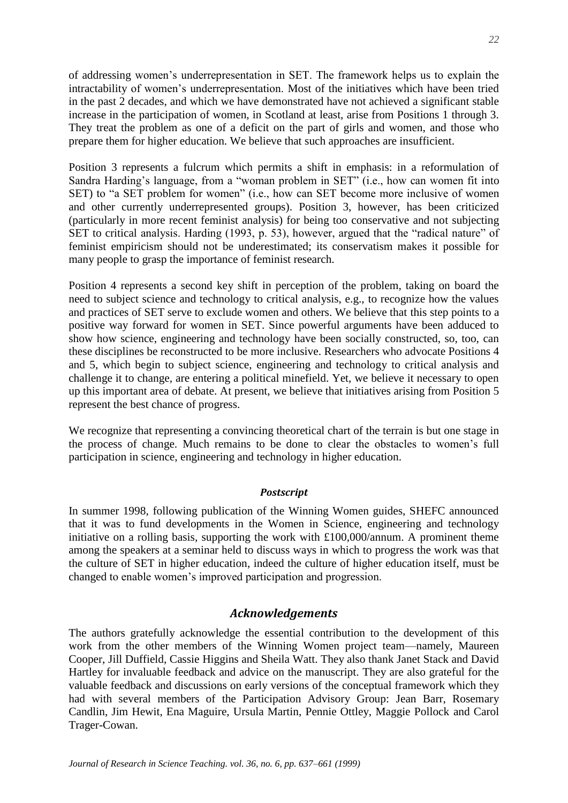of addressing women's underrepresentation in SET. The framework helps us to explain the intractability of women's underrepresentation. Most of the initiatives which have been tried in the past 2 decades, and which we have demonstrated have not achieved a significant stable increase in the participation of women, in Scotland at least, arise from Positions 1 through 3. They treat the problem as one of a deficit on the part of girls and women, and those who prepare them for higher education. We believe that such approaches are insufficient.

Position 3 represents a fulcrum which permits a shift in emphasis: in a reformulation of Sandra Harding's language, from a "woman problem in SET" (i.e., how can women fit into SET) to "a SET problem for women" (i.e., how can SET become more inclusive of women and other currently underrepresented groups). Position 3, however, has been criticized (particularly in more recent feminist analysis) for being too conservative and not subjecting SET to critical analysis. Harding (1993, p. 53), however, argued that the "radical nature" of feminist empiricism should not be underestimated; its conservatism makes it possible for many people to grasp the importance of feminist research.

Position 4 represents a second key shift in perception of the problem, taking on board the need to subject science and technology to critical analysis, e.g., to recognize how the values and practices of SET serve to exclude women and others. We believe that this step points to a positive way forward for women in SET. Since powerful arguments have been adduced to show how science, engineering and technology have been socially constructed, so, too, can these disciplines be reconstructed to be more inclusive. Researchers who advocate Positions 4 and 5, which begin to subject science, engineering and technology to critical analysis and challenge it to change, are entering a political minefield. Yet, we believe it necessary to open up this important area of debate. At present, we believe that initiatives arising from Position 5 represent the best chance of progress.

We recognize that representing a convincing theoretical chart of the terrain is but one stage in the process of change. Much remains to be done to clear the obstacles to women's full participation in science, engineering and technology in higher education.

### *Postscript*

In summer 1998, following publication of the Winning Women guides, SHEFC announced that it was to fund developments in the Women in Science, engineering and technology initiative on a rolling basis, supporting the work with £100,000/annum. A prominent theme among the speakers at a seminar held to discuss ways in which to progress the work was that the culture of SET in higher education, indeed the culture of higher education itself, must be changed to enable women's improved participation and progression.

### *Acknowledgements*

The authors gratefully acknowledge the essential contribution to the development of this work from the other members of the Winning Women project team—namely, Maureen Cooper, Jill Duffield, Cassie Higgins and Sheila Watt. They also thank Janet Stack and David Hartley for invaluable feedback and advice on the manuscript. They are also grateful for the valuable feedback and discussions on early versions of the conceptual framework which they had with several members of the Participation Advisory Group: Jean Barr, Rosemary Candlin, Jim Hewit, Ena Maguire, Ursula Martin, Pennie Ottley, Maggie Pollock and Carol Trager-Cowan.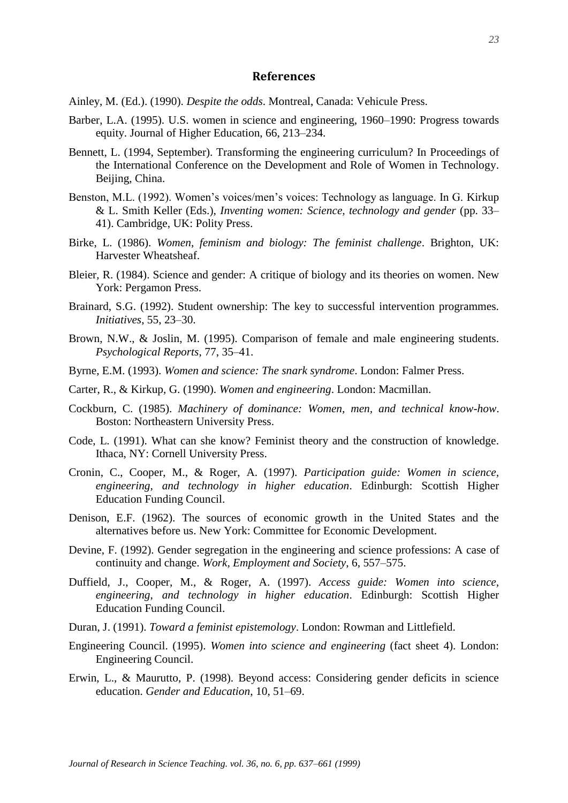#### **References**

Ainley, M. (Ed.). (1990). *Despite the odds*. Montreal, Canada: Vehicule Press.

- Barber, L.A. (1995). U.S. women in science and engineering, 1960–1990: Progress towards equity. Journal of Higher Education, 66, 213–234.
- Bennett, L. (1994, September). Transforming the engineering curriculum? In Proceedings of the International Conference on the Development and Role of Women in Technology. Beijing, China.
- Benston, M.L. (1992). Women's voices/men's voices: Technology as language. In G. Kirkup & L. Smith Keller (Eds.), *Inventing women: Science, technology and gender* (pp. 33– 41). Cambridge, UK: Polity Press.
- Birke, L. (1986). *Women, feminism and biology: The feminist challenge*. Brighton, UK: Harvester Wheatsheaf.
- Bleier, R. (1984). Science and gender: A critique of biology and its theories on women. New York: Pergamon Press.
- Brainard, S.G. (1992). Student ownership: The key to successful intervention programmes. *Initiatives*, 55, 23–30.
- Brown, N.W., & Joslin, M. (1995). Comparison of female and male engineering students. *Psychological Reports*, 77, 35–41.
- Byrne, E.M. (1993). *Women and science: The snark syndrome*. London: Falmer Press.
- Carter, R., & Kirkup, G. (1990). *Women and engineering*. London: Macmillan.
- Cockburn, C. (1985). *Machinery of dominance: Women, men, and technical know-how*. Boston: Northeastern University Press.
- Code, L. (1991). What can she know? Feminist theory and the construction of knowledge. Ithaca, NY: Cornell University Press.
- Cronin, C., Cooper, M., & Roger, A. (1997). *Participation guide: Women in science, engineering, and technology in higher education*. Edinburgh: Scottish Higher Education Funding Council.
- Denison, E.F. (1962). The sources of economic growth in the United States and the alternatives before us. New York: Committee for Economic Development.
- Devine, F. (1992). Gender segregation in the engineering and science professions: A case of continuity and change. *Work, Employment and Society*, 6, 557–575.
- Duffield, J., Cooper, M., & Roger, A. (1997). *Access guide: Women into science, engineering, and technology in higher education*. Edinburgh: Scottish Higher Education Funding Council.
- Duran, J. (1991). *Toward a feminist epistemology*. London: Rowman and Littlefield.
- Engineering Council. (1995). *Women into science and engineering* (fact sheet 4). London: Engineering Council.
- Erwin, L., & Maurutto, P. (1998). Beyond access: Considering gender deficits in science education. *Gender and Education*, 10, 51–69.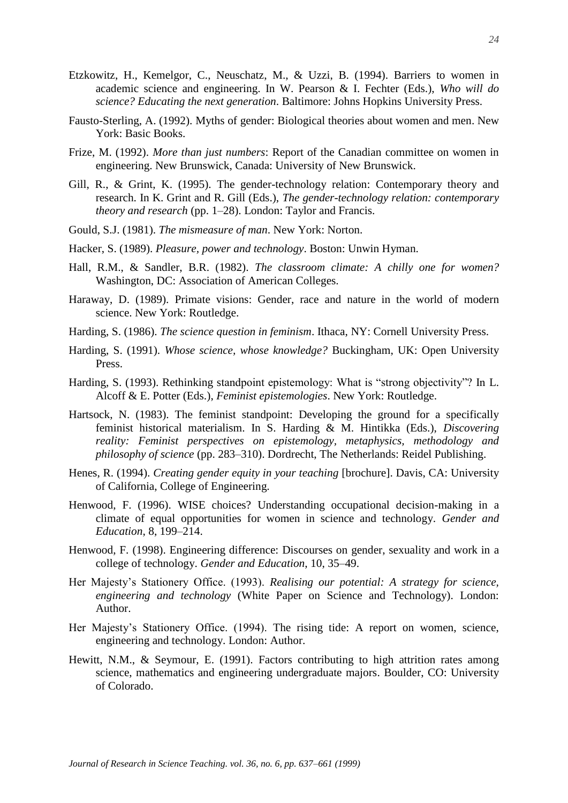- Etzkowitz, H., Kemelgor, C., Neuschatz, M., & Uzzi, B. (1994). Barriers to women in academic science and engineering. In W. Pearson & I. Fechter (Eds.), *Who will do science? Educating the next generation*. Baltimore: Johns Hopkins University Press.
- Fausto-Sterling, A. (1992). Myths of gender: Biological theories about women and men. New York: Basic Books.
- Frize, M. (1992). *More than just numbers*: Report of the Canadian committee on women in engineering. New Brunswick, Canada: University of New Brunswick.
- Gill, R., & Grint, K. (1995). The gender-technology relation: Contemporary theory and research. In K. Grint and R. Gill (Eds.), *The gender-technology relation: contemporary theory and research* (pp. 1–28). London: Taylor and Francis.
- Gould, S.J. (1981). *The mismeasure of man*. New York: Norton.
- Hacker, S. (1989). *Pleasure, power and technology*. Boston: Unwin Hyman.
- Hall, R.M., & Sandler, B.R. (1982). *The classroom climate: A chilly one for women?* Washington, DC: Association of American Colleges.
- Haraway, D. (1989). Primate visions: Gender, race and nature in the world of modern science. New York: Routledge.
- Harding, S. (1986). *The science question in feminism*. Ithaca, NY: Cornell University Press.
- Harding, S. (1991). *Whose science, whose knowledge?* Buckingham, UK: Open University Press.
- Harding, S. (1993). Rethinking standpoint epistemology: What is "strong objectivity"? In L. Alcoff & E. Potter (Eds.), *Feminist epistemologies*. New York: Routledge.
- Hartsock, N. (1983). The feminist standpoint: Developing the ground for a specifically feminist historical materialism. In S. Harding & M. Hintikka (Eds.), *Discovering reality: Feminist perspectives on epistemology, metaphysics, methodology and philosophy of science* (pp. 283–310). Dordrecht, The Netherlands: Reidel Publishing.
- Henes, R. (1994). *Creating gender equity in your teaching* [brochure]. Davis, CA: University of California, College of Engineering.
- Henwood, F. (1996). WISE choices? Understanding occupational decision-making in a climate of equal opportunities for women in science and technology. *Gender and Education*, 8, 199–214.
- Henwood, F. (1998). Engineering difference: Discourses on gender, sexuality and work in a college of technology. *Gender and Education*, 10, 35–49.
- Her Majesty's Stationery Office. (1993). *Realising our potential: A strategy for science, engineering and technology* (White Paper on Science and Technology). London: Author.
- Her Majesty's Stationery Office. (1994). The rising tide: A report on women, science, engineering and technology. London: Author.
- Hewitt, N.M., & Seymour, E. (1991). Factors contributing to high attrition rates among science, mathematics and engineering undergraduate majors. Boulder, CO: University of Colorado.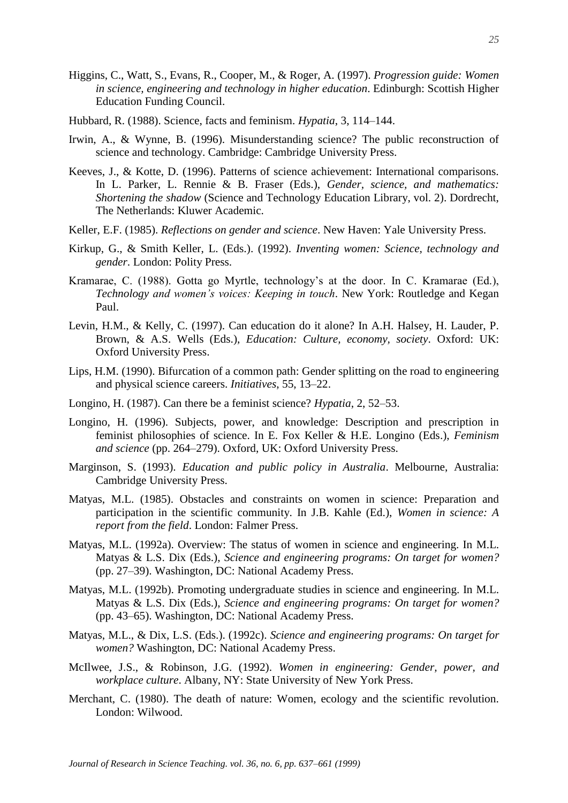- Higgins, C., Watt, S., Evans, R., Cooper, M., & Roger, A. (1997). *Progression guide: Women in science, engineering and technology in higher education*. Edinburgh: Scottish Higher Education Funding Council.
- Hubbard, R. (1988). Science, facts and feminism. *Hypatia*, 3, 114–144.
- Irwin, A., & Wynne, B. (1996). Misunderstanding science? The public reconstruction of science and technology. Cambridge: Cambridge University Press.
- Keeves, J., & Kotte, D. (1996). Patterns of science achievement: International comparisons. In L. Parker, L. Rennie & B. Fraser (Eds.), *Gender, science, and mathematics: Shortening the shadow* (Science and Technology Education Library, vol. 2). Dordrecht, The Netherlands: Kluwer Academic.
- Keller, E.F. (1985). *Reflections on gender and science*. New Haven: Yale University Press.
- Kirkup, G., & Smith Keller, L. (Eds.). (1992). *Inventing women: Science, technology and gender*. London: Polity Press.
- Kramarae, C. (1988). Gotta go Myrtle, technology's at the door. In C. Kramarae (Ed.), *Technology and women's voices: Keeping in touch*. New York: Routledge and Kegan Paul.
- Levin, H.M., & Kelly, C. (1997). Can education do it alone? In A.H. Halsey, H. Lauder, P. Brown, & A.S. Wells (Eds.), *Education: Culture, economy, society*. Oxford: UK: Oxford University Press.
- Lips, H.M. (1990). Bifurcation of a common path: Gender splitting on the road to engineering and physical science careers. *Initiatives*, 55, 13–22.
- Longino, H. (1987). Can there be a feminist science? *Hypatia*, 2, 52–53.
- Longino, H. (1996). Subjects, power, and knowledge: Description and prescription in feminist philosophies of science. In E. Fox Keller & H.E. Longino (Eds.), *Feminism and science* (pp. 264–279). Oxford, UK: Oxford University Press.
- Marginson, S. (1993). *Education and public policy in Australia*. Melbourne, Australia: Cambridge University Press.
- Matyas, M.L. (1985). Obstacles and constraints on women in science: Preparation and participation in the scientific community. In J.B. Kahle (Ed.), *Women in science: A report from the field*. London: Falmer Press.
- Matyas, M.L. (1992a). Overview: The status of women in science and engineering. In M.L. Matyas & L.S. Dix (Eds.), *Science and engineering programs: On target for women?* (pp. 27–39). Washington, DC: National Academy Press.
- Matyas, M.L. (1992b). Promoting undergraduate studies in science and engineering. In M.L. Matyas & L.S. Dix (Eds.), *Science and engineering programs: On target for women?* (pp. 43–65). Washington, DC: National Academy Press.
- Matyas, M.L., & Dix, L.S. (Eds.). (1992c). *Science and engineering programs: On target for women?* Washington, DC: National Academy Press.
- McIlwee, J.S., & Robinson, J.G. (1992). *Women in engineering: Gender, power, and workplace culture*. Albany, NY: State University of New York Press.
- Merchant, C. (1980). The death of nature: Women, ecology and the scientific revolution. London: Wilwood.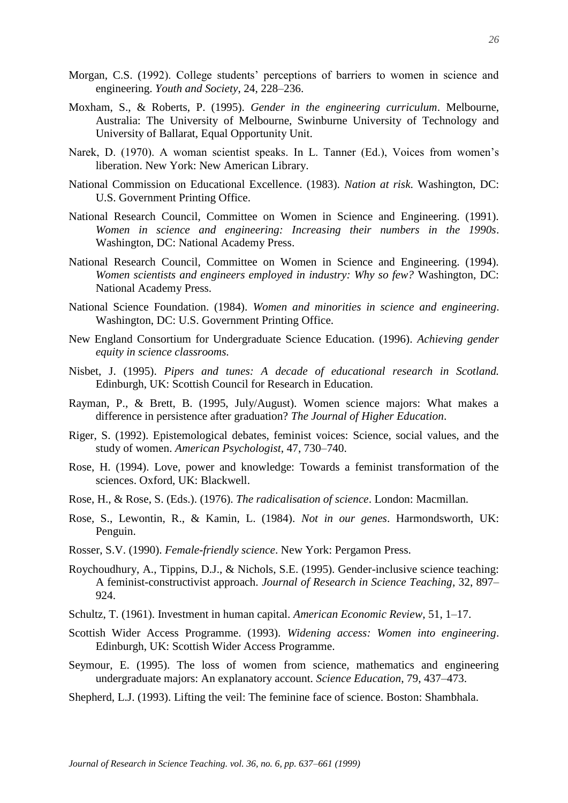- Morgan, C.S. (1992). College students' perceptions of barriers to women in science and engineering. *Youth and Society*, 24, 228–236.
- Moxham, S., & Roberts, P. (1995). *Gender in the engineering curriculum*. Melbourne, Australia: The University of Melbourne, Swinburne University of Technology and University of Ballarat, Equal Opportunity Unit.
- Narek, D. (1970). A woman scientist speaks. In L. Tanner (Ed.), Voices from women's liberation. New York: New American Library.
- National Commission on Educational Excellence. (1983). *Nation at risk*. Washington, DC: U.S. Government Printing Office.
- National Research Council, Committee on Women in Science and Engineering. (1991). *Women in science and engineering: Increasing their numbers in the 1990s*. Washington, DC: National Academy Press.
- National Research Council, Committee on Women in Science and Engineering. (1994). *Women scientists and engineers employed in industry: Why so few?* Washington, DC: National Academy Press.
- National Science Foundation. (1984). *Women and minorities in science and engineering*. Washington, DC: U.S. Government Printing Office.
- New England Consortium for Undergraduate Science Education. (1996). *Achieving gender equity in science classrooms.*
- Nisbet, J. (1995). *Pipers and tunes: A decade of educational research in Scotland.*  Edinburgh, UK: Scottish Council for Research in Education.
- Rayman, P., & Brett, B. (1995, July/August). Women science majors: What makes a difference in persistence after graduation? *The Journal of Higher Education*.
- Riger, S. (1992). Epistemological debates, feminist voices: Science, social values, and the study of women. *American Psychologist*, 47, 730–740.
- Rose, H. (1994). Love, power and knowledge: Towards a feminist transformation of the sciences. Oxford, UK: Blackwell.
- Rose, H., & Rose, S. (Eds.). (1976). *The radicalisation of science*. London: Macmillan.
- Rose, S., Lewontin, R., & Kamin, L. (1984). *Not in our genes*. Harmondsworth, UK: Penguin.
- Rosser, S.V. (1990). *Female-friendly science*. New York: Pergamon Press.
- Roychoudhury, A., Tippins, D.J., & Nichols, S.E. (1995). Gender-inclusive science teaching: A feminist-constructivist approach. *Journal of Research in Science Teaching*, 32, 897– 924.
- Schultz, T. (1961). Investment in human capital. *American Economic Review*, 51, 1–17.
- Scottish Wider Access Programme. (1993). *Widening access: Women into engineering*. Edinburgh, UK: Scottish Wider Access Programme.
- Seymour, E. (1995). The loss of women from science, mathematics and engineering undergraduate majors: An explanatory account. *Science Education*, 79, 437–473.
- Shepherd, L.J. (1993). Lifting the veil: The feminine face of science. Boston: Shambhala.